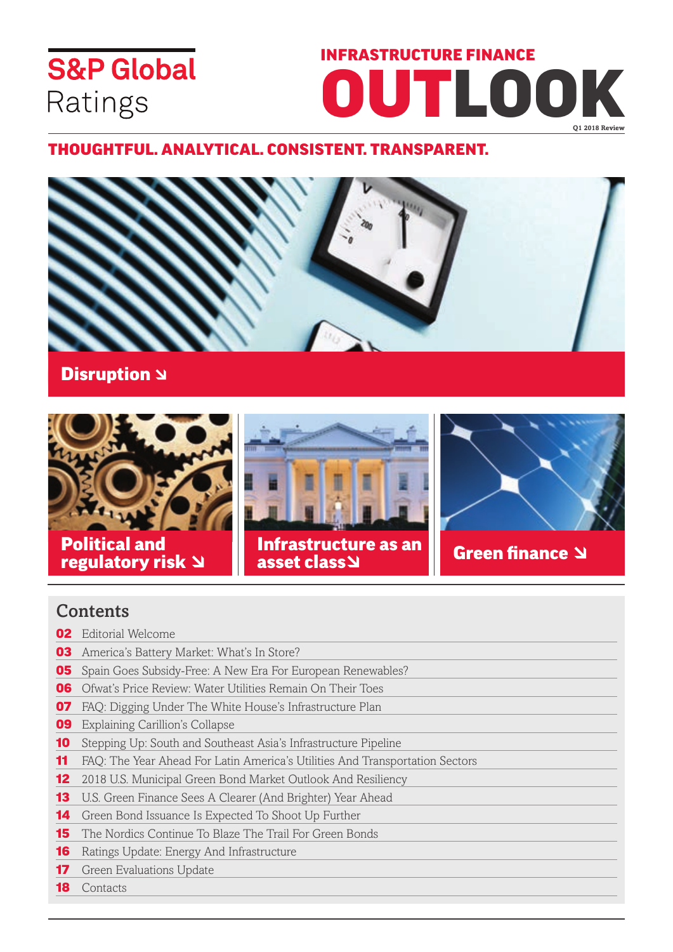# **S&P Global** Ratings

# infrastructure finance outlook **Q1 2018 Review**

### Thoughtful. Analytical. Consistent. Transparent.





Political and **rolltical and Green finance Structure as an Green finance Structure as an** Green finance Structure as an  $\blacksquare$ 



## asset class

### **Contents**

- 02 Editorial Welcome
- **03** America's Battery Market: What's In Store?
- **05** Spain Goes Subsidy-Free: A New Era For European Renewables?
- 06 Ofwat's Price Review: Water Utilities Remain On Their Toes
- 07 FAQ: Digging Under The White House's Infrastructure Plan
- **09** Explaining Carillion's Collapse
- 10 Stepping Up: South and Southeast Asia's Infrastructure Pipeline
- 11 FAQ: The Year Ahead For Latin America's Utilities And Transportation Sectors
- 12 2018 U.S. Municipal Green Bond Market Outlook And Resiliency
- 13 U.S. Green Finance Sees A Clearer (And Brighter) Year Ahead
- 14 Green Bond Issuance Is Expected To Shoot Up Further
- **15** The Nordics Continue To Blaze The Trail For Green Bonds
- **16** Ratings Update: Energy And Infrastructure
- **17** Green Evaluations Update
- **18** Contacts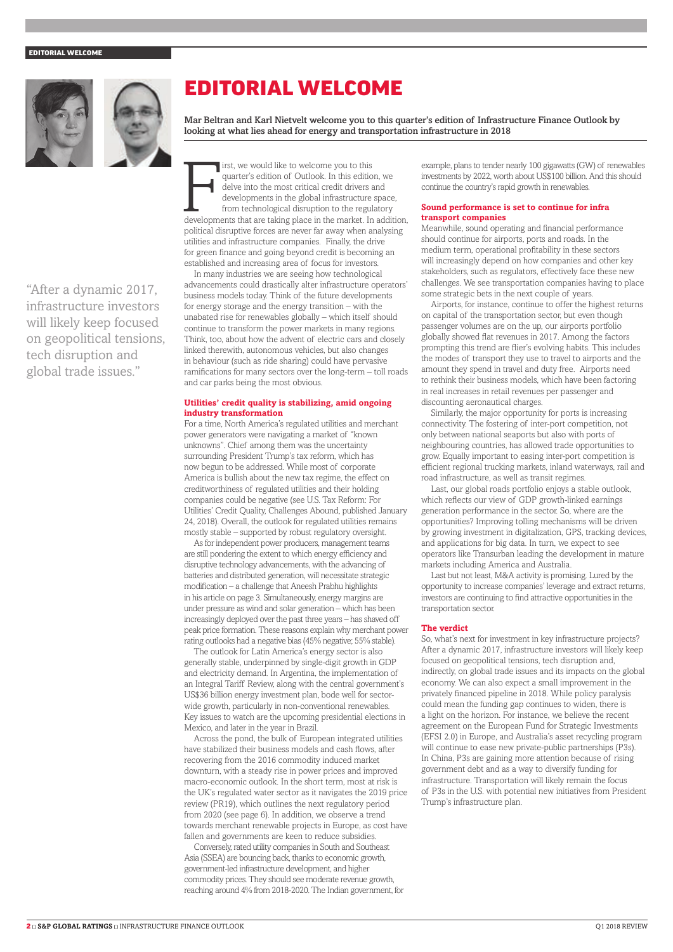#### EDITORIAL WELCOME



"After a dynamic 2017, infrastructure investors will likely keep focused on geopolitical tensions, tech disruption and global trade issues."

## EDITORIAL WELCOME

Mar Beltran and Karl Nietvelt welcome you to this quarter's edition of Infrastructure Finance Outlook by looking at what lies ahead for energy and transportation infrastructure in 2018

irst, we would like to welcome you to this<br>quarter's edition of Outlook. In this edition, we<br>delve into the most critical credit drivers and<br>developments in the global infrastructure space,<br>from technological disruption to irst, we would like to welcome you to this quarter's edition of Outlook. In this edition, we delve into the most critical credit drivers and developments in the global infrastructure space, from technological disruption to the regulatory political disruptive forces are never far away when analysing utilities and infrastructure companies. Finally, the drive for green finance and going beyond credit is becoming an established and increasing area of focus for investors.

In many industries we are seeing how technological advancements could drastically alter infrastructure operators' business models today. Think of the future developments for energy storage and the energy transition – with the unabated rise for renewables globally – which itself should continue to transform the power markets in many regions. Think, too, about how the advent of electric cars and closely linked therewith, autonomous vehicles, but also changes in behaviour (such as ride sharing) could have pervasive ramifications for many sectors over the long-term – toll roads and car parks being the most obvious.

#### **Utilities' credit quality is stabilizing, amid ongoing industry transformation**

For a time, North America's regulated utilities and merchant power generators were navigating a market of "known unknowns". Chief among them was the uncertainty surrounding President Trump's tax reform, which has now begun to be addressed. While most of corporate America is bullish about the new tax regime, the effect on creditworthiness of regulated utilities and their holding companies could be negative (see U.S. Tax Reform: For Utilities' Credit Quality, Challenges Abound, published January 24, 2018). Overall, the outlook for regulated utilities remains mostly stable – supported by robust regulatory oversight.

As for independent power producers, management teams are still pondering the extent to which energy efficiency and disruptive technology advancements, with the advancing of batteries and distributed generation, will necessitate strategic modification – a challenge that Aneesh Prabhu highlights in his article on page 3. Simultaneously, energy margins are under pressure as wind and solar generation – which has been increasingly deployed over the past three years – has shaved off peak price formation. These reasons explain why merchant power rating outlooks had a negative bias (45% negative; 55% stable).

The outlook for Latin America's energy sector is also generally stable, underpinned by single-digit growth in GDP and electricity demand. In Argentina, the implementation of an Integral Tariff Review, along with the central government's US\$36 billion energy investment plan, bode well for sectorwide growth, particularly in non-conventional renewables. Key issues to watch are the upcoming presidential elections in Mexico, and later in the year in Brazil.

Across the pond, the bulk of European integrated utilities have stabilized their business models and cash flows, after recovering from the 2016 commodity induced market downturn, with a steady rise in power prices and improved macro-economic outlook. In the short term, most at risk is the UK's regulated water sector as it navigates the 2019 price review (PR19), which outlines the next regulatory period from 2020 (see page 6). In addition, we observe a trend towards merchant renewable projects in Europe, as cost have fallen and governments are keen to reduce subsidies.

Conversely, rated utility companies in South and Southeast Asia (SSEA) are bouncing back, thanks to economic growth, government-led infrastructure development, and higher commodity prices. They should see moderate revenue growth, reaching around 4% from 2018-2020. The Indian government, for example, plans to tender nearly 100 gigawatts (GW) of renewables investments by 2022, worth about US\$100 billion. And this should continue the country's rapid growth in renewables.

#### **Sound performance is set to continue for infra transport companies**

Meanwhile, sound operating and financial performance should continue for airports, ports and roads. In the medium term, operational profitability in these sectors will increasingly depend on how companies and other key stakeholders, such as regulators, effectively face these new challenges. We see transportation companies having to place some strategic bets in the next couple of years.

Airports, for instance, continue to offer the highest returns on capital of the transportation sector, but even though passenger volumes are on the up, our airports portfolio globally showed flat revenues in 2017. Among the factors prompting this trend are flier's evolving habits. This includes the modes of transport they use to travel to airports and the amount they spend in travel and duty free. Airports need to rethink their business models, which have been factoring in real increases in retail revenues per passenger and discounting aeronautical charges.

Similarly, the major opportunity for ports is increasing connectivity. The fostering of inter-port competition, not only between national seaports but also with ports of neighbouring countries, has allowed trade opportunities to grow. Equally important to easing inter-port competition is efficient regional trucking markets, inland waterways, rail and road infrastructure, as well as transit regimes.

Last, our global roads portfolio enjoys a stable outlook, which reflects our view of GDP growth-linked earnings generation performance in the sector. So, where are the opportunities? Improving tolling mechanisms will be driven by growing investment in digitalization, GPS, tracking devices, and applications for big data. In turn, we expect to see operators like Transurban leading the development in mature markets including America and Australia.

Last but not least, M&A activity is promising. Lured by the opportunity to increase companies' leverage and extract returns, investors are continuing to find attractive opportunities in the transportation sector.

#### **The verdict**

So, what's next for investment in key infrastructure projects? After a dynamic 2017, infrastructure investors will likely keep focused on geopolitical tensions, tech disruption and, indirectly, on global trade issues and its impacts on the global economy. We can also expect a small improvement in the privately financed pipeline in 2018. While policy paralysis could mean the funding gap continues to widen, there is a light on the horizon. For instance, we believe the recent agreement on the European Fund for Strategic Investments (EFSI 2.0) in Europe, and Australia's asset recycling program will continue to ease new private-public partnerships (P3s). In China, P3s are gaining more attention because of rising government debt and as a way to diversify funding for infrastructure. Transportation will likely remain the focus of P3s in the U.S. with potential new initiatives from President Trump's infrastructure plan.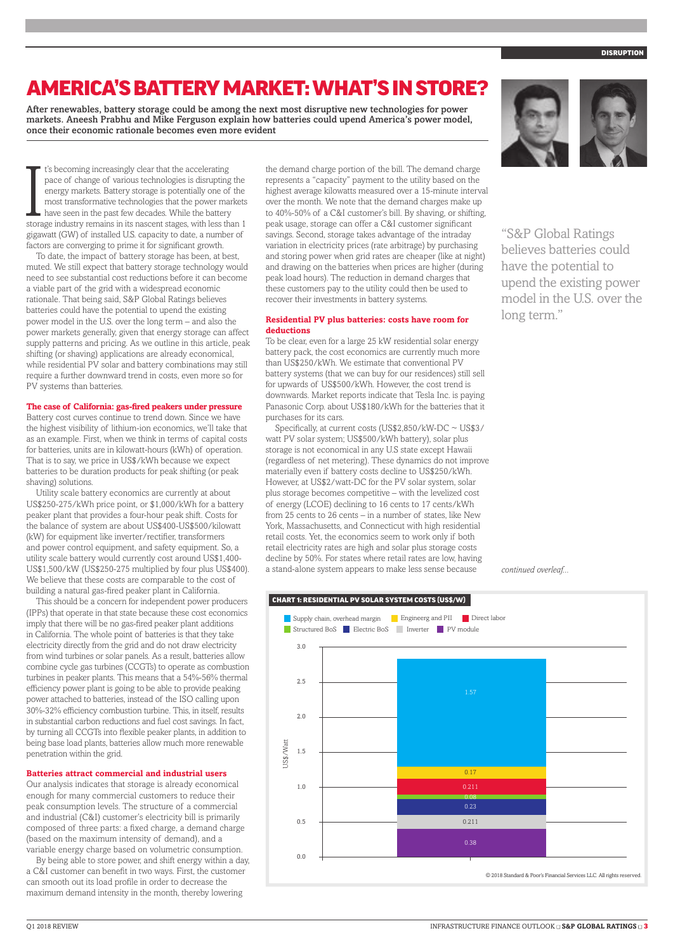# AMERICA'S BATTERY MARKET: WHAT'S IN STORE?

After renewables, battery storage could be among the next most disruptive new technologies for power markets. Aneesh Prabhu and Mike Ferguson explain how batteries could upend America's power model, once their economic rationale becomes even more evident

I's becoming increasingly clear that the accelerating<br>pace of change of various technologies is disrupting the<br>energy markets. Battery storage is potentially one of the<br>most transformative technologies that the power marke t's becoming increasingly clear that the accelerating pace of change of various technologies is disrupting the energy markets. Battery storage is potentially one of the most transformative technologies that the power markets have seen in the past few decades. While the battery gigawatt (GW) of installed U.S. capacity to date, a number of factors are converging to prime it for significant growth.

To date, the impact of battery storage has been, at best, muted. We still expect that battery storage technology would need to see substantial cost reductions before it can become a viable part of the grid with a widespread economic rationale. That being said, S&P Global Ratings believes batteries could have the potential to upend the existing power model in the U.S. over the long term – and also the power markets generally, given that energy storage can affect supply patterns and pricing. As we outline in this article, peak shifting (or shaving) applications are already economical, while residential PV solar and battery combinations may still require a further downward trend in costs, even more so for PV systems than batteries.

#### **The case of California: gas-fired peakers under pressure**

Battery cost curves continue to trend down. Since we have the highest visibility of lithium-ion economics, we'll take that as an example. First, when we think in terms of capital costs for batteries, units are in kilowatt-hours (kWh) of operation. That is to say, we price in US\$/kWh because we expect batteries to be duration products for peak shifting (or peak shaving) solutions.

Utility scale battery economics are currently at about US\$250-275/kWh price point, or \$1,000/kWh for a battery peaker plant that provides a four-hour peak shift. Costs for the balance of system are about US\$400-US\$500/kilowatt (kW) for equipment like inverter/rectifier, transformers and power control equipment, and safety equipment. So, a utility scale battery would currently cost around US\$1,400- US\$1,500/kW (US\$250-275 multiplied by four plus US\$400). We believe that these costs are comparable to the cost of building a natural gas-fired peaker plant in California.

This should be a concern for independent power producers (IPPs) that operate in that state because these cost economics imply that there will be no gas-fired peaker plant additions in California. The whole point of batteries is that they take electricity directly from the grid and do not draw electricity from wind turbines or solar panels. As a result, batteries allow combine cycle gas turbines (CCGTs) to operate as combustion turbines in peaker plants. This means that a 54%-56% thermal efficiency power plant is going to be able to provide peaking power attached to batteries, instead of the ISO calling upon 30%-32% efficiency combustion turbine. This, in itself, results in substantial carbon reductions and fuel cost savings. In fact, by turning all CCGTs into flexible peaker plants, in addition to being base load plants, batteries allow much more renewable penetration within the grid.

#### **Batteries attract commercial and industrial users**

Our analysis indicates that storage is already economical enough for many commercial customers to reduce their peak consumption levels. The structure of a commercial and industrial (C&I) customer's electricity bill is primarily composed of three parts: a fixed charge, a demand charge (based on the maximum intensity of demand), and a variable energy charge based on volumetric consumption.

By being able to store power, and shift energy within a day, a C&I customer can benefit in two ways. First, the customer can smooth out its load profile in order to decrease the maximum demand intensity in the month, thereby lowering

the demand charge portion of the bill. The demand charge represents a "capacity" payment to the utility based on the highest average kilowatts measured over a 15-minute interval over the month. We note that the demand charges make up to 40%-50% of a C&I customer's bill. By shaving, or shifting, peak usage, storage can offer a C&I customer significant savings. Second, storage takes advantage of the intraday variation in electricity prices (rate arbitrage) by purchasing and storing power when grid rates are cheaper (like at night) and drawing on the batteries when prices are higher (during peak load hours). The reduction in demand charges that these customers pay to the utility could then be used to recover their investments in battery systems.

#### **Residential PV plus batteries: costs have room for deductions**

To be clear, even for a large 25 kW residential solar energy battery pack, the cost economics are currently much more than US\$250/kWh. We estimate that conventional PV battery systems (that we can buy for our residences) still sell for upwards of US\$500/kWh. However, the cost trend is downwards. Market reports indicate that Tesla Inc. is paying Panasonic Corp. about US\$180/kWh for the batteries that it purchases for its cars.

Specifically, at current costs (US\$2,850/kW-DC ~ US\$3/ watt PV solar system; US\$500/kWh battery), solar plus storage is not economical in any U.S state except Hawaii (regardless of net metering). These dynamics do not improve materially even if battery costs decline to US\$250/kWh. However, at US\$2/watt-DC for the PV solar system, solar plus storage becomes competitive – with the levelized cost of energy (LCOE) declining to 16 cents to 17 cents/kWh from 25 cents to 26 cents – in a number of states, like New York, Massachusetts, and Connecticut with high residential retail costs. Yet, the economics seem to work only if both retail electricity rates are high and solar plus storage costs decline by 50%. For states where retail rates are low, having a stand-alone system appears to make less sense because

"S&P Global Ratings believes batteries could have the potential to upend the existing power model in the U.S. over the long term."

*continued overleaf...*



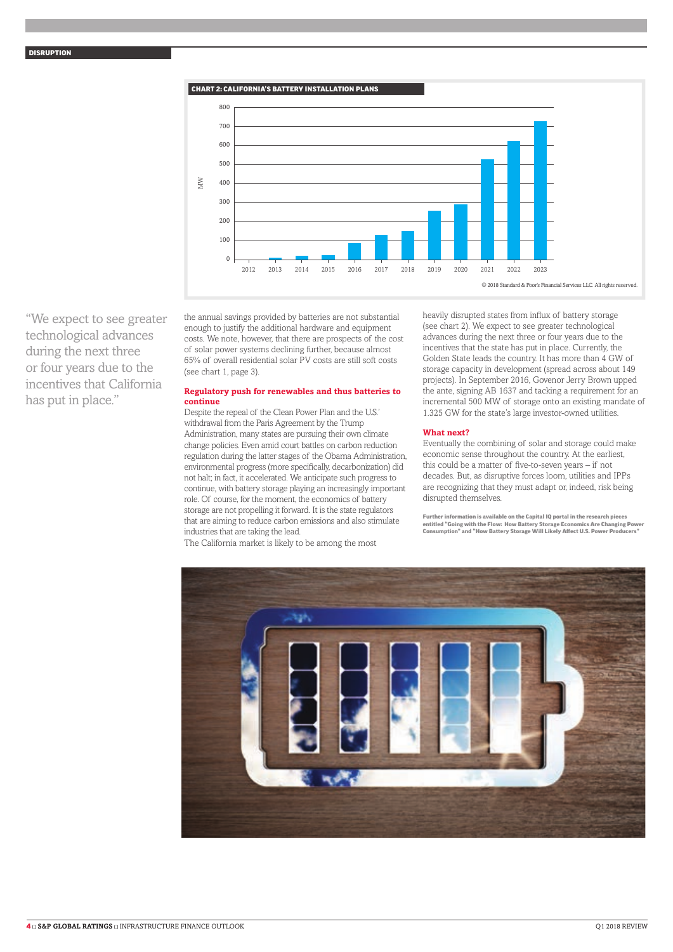

"We expect to see greater technological advances during the next three or four years due to the incentives that California has put in place."

the annual savings provided by batteries are not substantial enough to justify the additional hardware and equipment costs. We note, however, that there are prospects of the cost of solar power systems declining further, because almost 65% of overall residential solar PV costs are still soft costs (see chart 1, page 3).

#### **Regulatory push for renewables and thus batteries to continue**

Despite the repeal of the Clean Power Plan and the U.S.' withdrawal from the Paris Agreement by the Trump Administration, many states are pursuing their own climate change policies. Even amid court battles on carbon reduction regulation during the latter stages of the Obama Administration, environmental progress (more specifically, decarbonization) did not halt; in fact, it accelerated. We anticipate such progress to continue, with battery storage playing an increasingly important role. Of course, for the moment, the economics of battery storage are not propelling it forward. It is the state regulators that are aiming to reduce carbon emissions and also stimulate industries that are taking the lead.

The California market is likely to be among the most

heavily disrupted states from influx of battery storage (see chart 2). We expect to see greater technological advances during the next three or four years due to the incentives that the state has put in place. Currently, the Golden State leads the country. It has more than 4 GW of storage capacity in development (spread across about 149 projects). In September 2016, Govenor Jerry Brown upped the ante, signing AB 1637 and tacking a requirement for an incremental 500 MW of storage onto an existing mandate of 1.325 GW for the state's large investor-owned utilities.

#### **What next?**

Eventually the combining of solar and storage could make economic sense throughout the country. At the earliest, this could be a matter of five-to-seven years – if not decades. But, as disruptive forces loom, utilities and IPPs are recognizing that they must adapt or, indeed, risk being disrupted themselves.

Further information is available on the Capital IQ portal in the research pieces entitled "Going with the Flow: How Battery Storage Economics Are Changing Power Consumption" and "How Battery Storage Will Likely Affect U.S. Power Producers

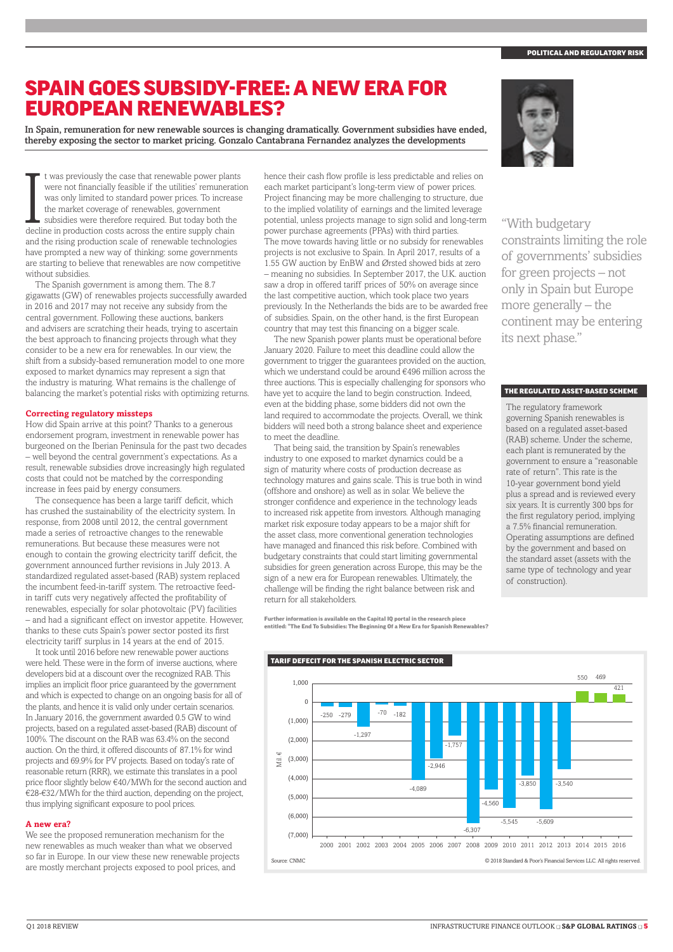#### POLITICAL AND REGULATORY RIS

### SPAIN GOES SUBSIDY-FREE: A NEW ERA FOR EUROPEAN RENEWABLES?

In Spain, remuneration for new renewable sources is changing dramatically. Government subsidies have ended, thereby exposing the sector to market pricing. Gonzalo Cantabrana Fernandez analyzes the developments

It was previously the case that renewable power plant<br>were not financially feasible if the utilities' remunerat<br>was only limited to standard power prices. To increas<br>the market coverage of renewables, government<br>subsidies t was previously the case that renewable power plants were not financially feasible if the utilities' remuneration was only limited to standard power prices. To increase the market coverage of renewables, government subsidies were therefore required. But today both the and the rising production scale of renewable technologies have prompted a new way of thinking: some governments are starting to believe that renewables are now competitive without subsidies.

The Spanish government is among them. The 8.7 gigawatts (GW) of renewables projects successfully awarded in 2016 and 2017 may not receive any subsidy from the central government. Following these auctions, bankers and advisers are scratching their heads, trying to ascertain the best approach to financing projects through what they consider to be a new era for renewables. In our view, the shift from a subsidy-based remuneration model to one more exposed to market dynamics may represent a sign that the industry is maturing. What remains is the challenge of balancing the market's potential risks with optimizing returns.

#### **Correcting regulatory missteps**

How did Spain arrive at this point? Thanks to a generous endorsement program, investment in renewable power has burgeoned on the Iberian Peninsula for the past two decades – well beyond the central government's expectations. As a result, renewable subsidies drove increasingly high regulated costs that could not be matched by the corresponding increase in fees paid by energy consumers.

The consequence has been a large tariff deficit, which has crushed the sustainability of the electricity system. In response, from 2008 until 2012, the central government made a series of retroactive changes to the renewable remunerations. But because these measures were not enough to contain the growing electricity tariff deficit, the government announced further revisions in July 2013. A standardized regulated asset-based (RAB) system replaced the incumbent feed-in-tariff system. The retroactive feedin tariff cuts very negatively affected the profitability of renewables, especially for solar photovoltaic (PV) facilities – and had a significant effect on investor appetite. However, thanks to these cuts Spain's power sector posted its first electricity tariff surplus in 14 years at the end of 2015.

It took until 2016 before new renewable power auctions were held. These were in the form of inverse auctions, where developers bid at a discount over the recognized RAB. This implies an implicit floor price guaranteed by the government and which is expected to change on an ongoing basis for all of the plants, and hence it is valid only under certain scenarios. In January 2016, the government awarded 0.5 GW to wind projects, based on a regulated asset-based (RAB) discount of 100%. The discount on the RAB was 63.4% on the second auction. On the third, it offered discounts of 87.1% for wind projects and 69.9% for PV projects. Based on today's rate of reasonable return (RRR), we estimate this translates in a pool price floor slightly below €40/MWh for the second auction and €28-€32/MWh for the third auction, depending on the project, thus implying significant exposure to pool prices.

#### **A new era?**

We see the proposed remuneration mechanism for the new renewables as much weaker than what we observed so far in Europe. In our view these new renewable projects are mostly merchant projects exposed to pool prices, and

hence their cash flow profile is less predictable and relies on each market participant's long-term view of power prices. Project financing may be more challenging to structure, due to the implied volatility of earnings and the limited leverage potential, unless projects manage to sign solid and long-term power purchase agreements (PPAs) with third parties. The move towards having little or no subsidy for renewables projects is not exclusive to Spain. In April 2017, results of a 1.55 GW auction by EnBW and Ørsted showed bids at zero – meaning no subsidies. In September 2017, the U.K. auction saw a drop in offered tariff prices of 50% on average since the last competitive auction, which took place two years previously. In the Netherlands the bids are to be awarded free of subsidies. Spain, on the other hand, is the first European country that may test this financing on a bigger scale.

The new Spanish power plants must be operational before January 2020. Failure to meet this deadline could allow the government to trigger the guarantees provided on the auction, which we understand could be around €496 million across the three auctions. This is especially challenging for sponsors who have yet to acquire the land to begin construction. Indeed, even at the bidding phase, some bidders did not own the land required to accommodate the projects. Overall, we think bidders will need both a strong balance sheet and experience to meet the deadline.

That being said, the transition by Spain's renewables industry to one exposed to market dynamics could be a sign of maturity where costs of production decrease as technology matures and gains scale. This is true both in wind (offshore and onshore) as well as in solar. We believe the stronger confidence and experience in the technology leads to increased risk appetite from investors. Although managing market risk exposure today appears to be a major shift for the asset class, more conventional generation technologies have managed and financed this risk before. Combined with budgetary constraints that could start limiting governmental subsidies for green generation across Europe, this may be the sign of a new era for European renewables. Ultimately, the challenge will be finding the right balance between risk and return for all stakeholders.

Further information is available on the Capital IQ portal in the research piece entitled: "The End To Subsidies: The Beginning Of a New Era for Spanish Renewables?



"With budgetary constraints limiting the role of governments' subsidies for green projects – not only in Spain but Europe more generally – the continent may be entering its next phase."

#### THE REGULATED ASSET-BASED SCHEME

The regulatory framework governing Spanish renewables is based on a regulated asset-based (RAB) scheme. Under the scheme, each plant is remunerated by the government to ensure a "reasonable rate of return". This rate is the 10-year government bond yield plus a spread and is reviewed every six years. It is currently 300 bps for the first regulatory period, implying a 7.5% financial remuneration. Operating assumptions are defined by the government and based on the standard asset (assets with the same type of technology and year of construction).



#### TARIF DEFECIT FOR THE SPANISH ELECTRIC SECTOR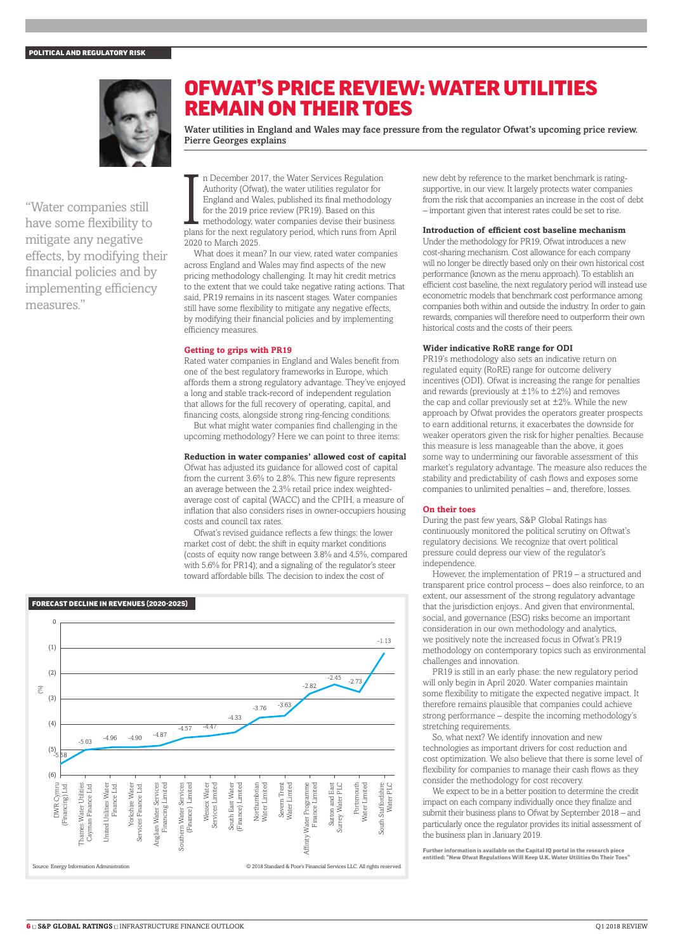

## OFWAT'S PRICE REVIEW: WATER UTILITIES REMAIN ON THEIR TOES

Water utilities in England and Wales may face pressure from the regulator Ofwat's upcoming price review. Pierre Georges explains

"Water companies still have some flexibility to mitigate any negative effects, by modifying their financial policies and by implementing efficiency measures."

In December 2017, the Water Services Regulation<br>Authority (Ofwat), the water utilities regulator for<br>England and Wales, published its final methodology<br>for the 2019 price review (PR19). Based on this<br>methodology, water com n December 2017, the Water Services Regulation Authority (Ofwat), the water utilities regulator for England and Wales, published its final methodology for the 2019 price review (PR19). Based on this methodology, water companies devise their business 2020 to March 2025.

What does it mean? In our view, rated water companies across England and Wales may find aspects of the new pricing methodology challenging. It may hit credit metrics to the extent that we could take negative rating actions. That said, PR19 remains in its nascent stages. Water companies still have some flexibility to mitigate any negative effects, by modifying their financial policies and by implementing efficiency measures.

#### **Getting to grips with PR19**

Rated water companies in England and Wales benefit from one of the best regulatory frameworks in Europe, which affords them a strong regulatory advantage. They've enjoyed a long and stable track-record of independent regulation that allows for the full recovery of operating, capital, and financing costs, alongside strong ring-fencing conditions.

But what might water companies find challenging in the upcoming methodology? Here we can point to three items:

#### **Reduction in water companies' allowed cost of capital**

Ofwat has adjusted its guidance for allowed cost of capital from the current 3.6% to 2.8%. This new figure represents an average between the 2.3% retail price index weightedaverage cost of capital (WACC) and the CPIH, a measure of inflation that also considers rises in owner-occupiers housing costs and council tax rates.

Ofwat's revised guidance reflects a few things: the lower market cost of debt; the shift in equity market conditions (costs of equity now range between 3.8% and 4.5%, compared with 5.6% for PR14); and a signaling of the regulator's steer toward affordable bills. The decision to index the cost of



new debt by reference to the market benchmark is ratingsupportive, in our view. It largely protects water companies from the risk that accompanies an increase in the cost of debt – important given that interest rates could be set to rise.

#### **Introduction of efficient cost baseline mechanism**

Under the methodology for PR19, Ofwat introduces a new cost-sharing mechanism. Cost allowance for each company will no longer be directly based only on their own historical cost performance (known as the menu approach). To establish an efficient cost baseline, the next regulatory period will instead use econometric models that benchmark cost performance among companies both within and outside the industry. In order to gain rewards, companies will therefore need to outperform their own historical costs and the costs of their peers.

#### **Wider indicative RoRE range for ODI**

PR19's methodology also sets an indicative return on regulated equity (RoRE) range for outcome delivery incentives (ODI). Ofwat is increasing the range for penalties and rewards (previously at  $\pm 1$ % to  $\pm 2$ %) and removes the cap and collar previously set at  $\pm 2\%$ . While the new approach by Ofwat provides the operators greater prospects to earn additional returns, it exacerbates the downside for weaker operators given the risk for higher penalties. Because this measure is less manageable than the above, it goes some way to undermining our favorable assessment of this market's regulatory advantage. The measure also reduces the stability and predictability of cash flows and exposes some companies to unlimited penalties – and, therefore, losses.

#### **On their toes**

During the past few years, S&P Global Ratings has continuously monitored the political scrutiny on Oftwat's regulatory decisions. We recognize that overt political pressure could depress our view of the regulator's independence.

However, the implementation of PR19 – a structured and transparent price control process – does also reinforce, to an extent, our assessment of the strong regulatory advantage that the jurisdiction enjoys.. And given that environmental, social, and governance (ESG) risks become an important consideration in our own methodology and analytics, we positively note the increased focus in Ofwat's PR19 methodology on contemporary topics such as environmental challenges and innovation.

PR19 is still in an early phase: the new regulatory period will only begin in April 2020. Water companies maintain some flexibility to mitigate the expected negative impact. It therefore remains plausible that companies could achieve strong performance – despite the incoming methodology's stretching requirements.

So, what next? We identify innovation and new technologies as important drivers for cost reduction and cost optimization. We also believe that there is some level of flexibility for companies to manage their cash flows as they consider the methodology for cost recovery.

We expect to be in a better position to determine the credit impact on each company individually once they finalize and submit their business plans to Ofwat by September 2018 – and particularly once the regulator provides its initial assessment of the business plan in January 2019.

Further information is available on the Capital IQ portal in the research piece entitled: "New Ofwat Regulations Will Keep U.K. Water Utilities On Their Toes"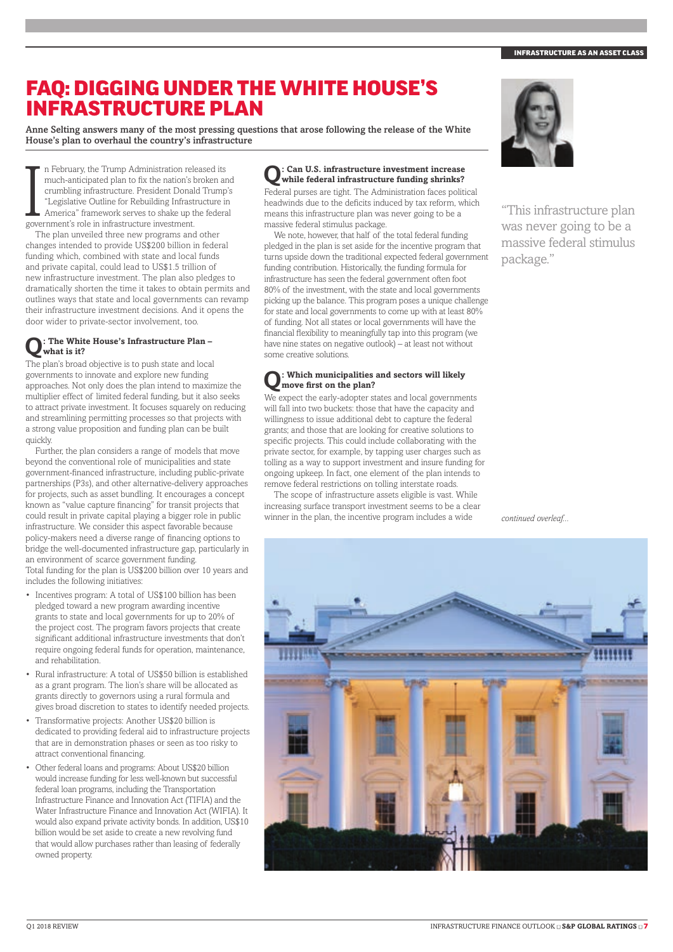### FAQ: DIGGING UNDER THE WHITE HOUSE'S INFRASTRUCTURE PLAN

Anne Selting answers many of the most pressing questions that arose following the release of the White House's plan to overhaul the country's infrastructure

In February, the Trump Administration rel much-anticipated plan to fix the nation's locumbling infrastructure. President Donal "Legislative Outline for Rebuilding Infrast America" framework serves to shake up to government n February, the Trump Administration released its much-anticipated plan to fix the nation's broken and crumbling infrastructure. President Donald Trump's "Legislative Outline for Rebuilding Infrastructure in America" framework serves to shake up the federal

The plan unveiled three new programs and other changes intended to provide US\$200 billion in federal funding which, combined with state and local funds and private capital, could lead to US\$1.5 trillion of new infrastructure investment. The plan also pledges to dramatically shorten the time it takes to obtain permits and outlines ways that state and local governments can revamp their infrastructure investment decisions. And it opens the door wider to private-sector involvement, too.

#### **Q: The White House's Infrastructure Plan – what is it?**

The plan's broad objective is to push state and local governments to innovate and explore new funding approaches. Not only does the plan intend to maximize the multiplier effect of limited federal funding, but it also seeks to attract private investment. It focuses squarely on reducing and streamlining permitting processes so that projects with a strong value proposition and funding plan can be built quickly.

Further, the plan considers a range of models that move beyond the conventional role of municipalities and state government-financed infrastructure, including public-private partnerships (P3s), and other alternative-delivery approaches for projects, such as asset bundling. It encourages a concept known as "value capture financing" for transit projects that could result in private capital playing a bigger role in public infrastructure. We consider this aspect favorable because policy-makers need a diverse range of financing options to bridge the well-documented infrastructure gap, particularly in an environment of scarce government funding. Total funding for the plan is US\$200 billion over 10 years and includes the following initiatives:

- • Incentives program: A total of US\$100 billion has been pledged toward a new program awarding incentive grants to state and local governments for up to 20% of the project cost. The program favors projects that create significant additional infrastructure investments that don't require ongoing federal funds for operation, maintenance, and rehabilitation.
- Rural infrastructure: A total of US\$50 billion is established as a grant program. The lion's share will be allocated as grants directly to governors using a rural formula and gives broad discretion to states to identify needed projects.
- • Transformative projects: Another US\$20 billion is dedicated to providing federal aid to infrastructure projects that are in demonstration phases or seen as too risky to attract conventional financing.
- Other federal loans and programs: About US\$20 billion would increase funding for less well-known but successful federal loan programs, including the Transportation Infrastructure Finance and Innovation Act (TIFIA) and the Water Infrastructure Finance and Innovation Act (WIFIA). It would also expand private activity bonds. In addition, US\$10 billion would be set aside to create a new revolving fund that would allow purchases rather than leasing of federally owned property.

# **Q: Can U.S. infrastructure investment increase while federal infrastructure funding shrinks?**

Federal purses are tight. The Administration faces political headwinds due to the deficits induced by tax reform, which means this infrastructure plan was never going to be a massive federal stimulus package.

We note, however, that half of the total federal funding pledged in the plan is set aside for the incentive program that turns upside down the traditional expected federal government funding contribution. Historically, the funding formula for infrastructure has seen the federal government often foot 80% of the investment, with the state and local governments picking up the balance. This program poses a unique challenge for state and local governments to come up with at least 80% of funding. Not all states or local governments will have the financial flexibility to meaningfully tap into this program (we have nine states on negative outlook) – at least not without some creative solutions.

#### **Q: Which municipalities and sectors will likely move first on the plan?**

We expect the early-adopter states and local governments will fall into two buckets: those that have the capacity and willingness to issue additional debt to capture the federal grants; and those that are looking for creative solutions to specific projects. This could include collaborating with the private sector, for example, by tapping user charges such as tolling as a way to support investment and insure funding for ongoing upkeep. In fact, one element of the plan intends to remove federal restrictions on tolling interstate roads.

The scope of infrastructure assets eligible is vast. While increasing surface transport investment seems to be a clear winner in the plan, the incentive program includes a wide *continued overleaf* 



"This infrastructure plan was never going to be a massive federal stimulus package."

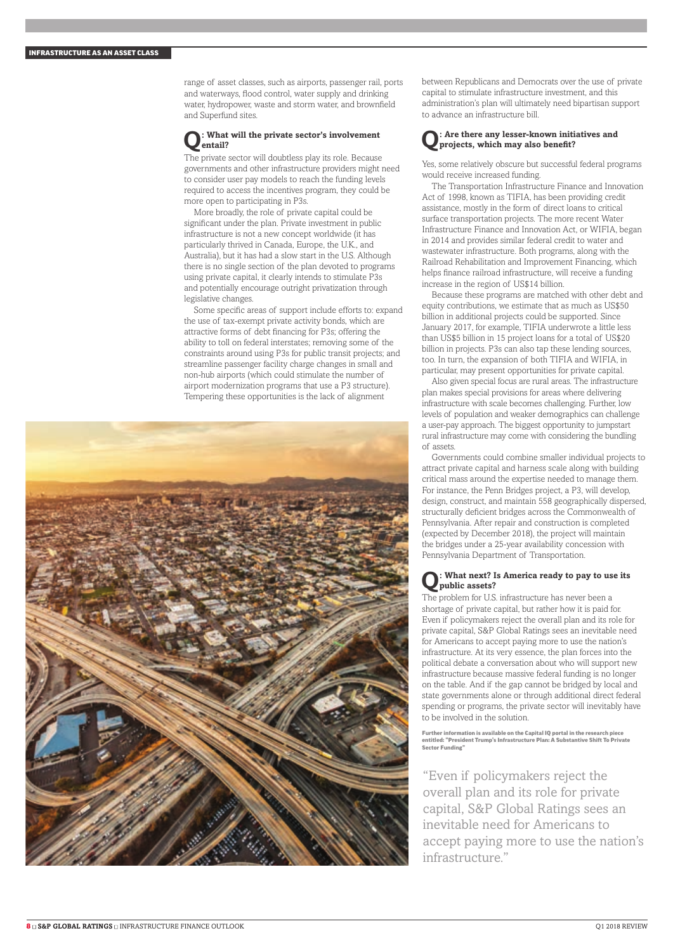range of asset classes, such as airports, passenger rail, ports and waterways, flood control, water supply and drinking water, hydropower, waste and storm water, and brownfield and Superfund sites.

#### **Q: What will the private sector's involvement entail?**

The private sector will doubtless play its role. Because governments and other infrastructure providers might need to consider user pay models to reach the funding levels required to access the incentives program, they could be more open to participating in P3s.

More broadly, the role of private capital could be significant under the plan. Private investment in public infrastructure is not a new concept worldwide (it has particularly thrived in Canada, Europe, the U.K., and Australia), but it has had a slow start in the U.S. Although there is no single section of the plan devoted to programs using private capital, it clearly intends to stimulate P3s and potentially encourage outright privatization through legislative changes.

Some specific areas of support include efforts to: expand the use of tax-exempt private activity bonds, which are attractive forms of debt financing for P3s; offering the ability to toll on federal interstates; removing some of the constraints around using P3s for public transit projects; and streamline passenger facility charge changes in small and non-hub airports (which could stimulate the number of airport modernization programs that use a P3 structure). Tempering these opportunities is the lack of alignment



between Republicans and Democrats over the use of private capital to stimulate infrastructure investment, and this administration's plan will ultimately need bipartisan support to advance an infrastructure bill.

#### **Q: Are there any lesser-known initiatives and projects, which may also benefit?**

Yes, some relatively obscure but successful federal programs would receive increased funding.

The Transportation Infrastructure Finance and Innovation Act of 1998, known as TIFIA, has been providing credit assistance, mostly in the form of direct loans to critical surface transportation projects. The more recent Water Infrastructure Finance and Innovation Act, or WIFIA, began in 2014 and provides similar federal credit to water and wastewater infrastructure. Both programs, along with the Railroad Rehabilitation and Improvement Financing, which helps finance railroad infrastructure, will receive a funding increase in the region of US\$14 billion.

Because these programs are matched with other debt and equity contributions, we estimate that as much as US\$50 billion in additional projects could be supported. Since January 2017, for example, TIFIA underwrote a little less than US\$5 billion in 15 project loans for a total of US\$20 billion in projects. P3s can also tap these lending sources, too. In turn, the expansion of both TIFIA and WIFIA, in particular, may present opportunities for private capital.

Also given special focus are rural areas. The infrastructure plan makes special provisions for areas where delivering infrastructure with scale becomes challenging. Further, low levels of population and weaker demographics can challenge a user-pay approach. The biggest opportunity to jumpstart rural infrastructure may come with considering the bundling of assets.

Governments could combine smaller individual projects to attract private capital and harness scale along with building critical mass around the expertise needed to manage them. For instance, the Penn Bridges project, a P3, will develop, design, construct, and maintain 558 geographically dispersed, structurally deficient bridges across the Commonwealth of Pennsylvania. After repair and construction is completed (expected by December 2018), the project will maintain the bridges under a 25-year availability concession with Pennsylvania Department of Transportation.

#### **Q: What next? Is America ready to pay to use its public assets?**

The problem for U.S. infrastructure has never been a shortage of private capital, but rather how it is paid for. Even if policymakers reject the overall plan and its role for private capital, S&P Global Ratings sees an inevitable need for Americans to accept paying more to use the nation's infrastructure. At its very essence, the plan forces into the political debate a conversation about who will support new infrastructure because massive federal funding is no longer on the table. And if the gap cannot be bridged by local and state governments alone or through additional direct federal spending or programs, the private sector will inevitably have to be involved in the solution.

Further information is available on the Capital IQ portal in the research piece entitled: "President Trump's Infrastructure Plan: A Substantive Shift To Private Sector Funding"

"Even if policymakers reject the overall plan and its role for private capital, S&P Global Ratings sees an inevitable need for Americans to accept paying more to use the nation's infrastructure."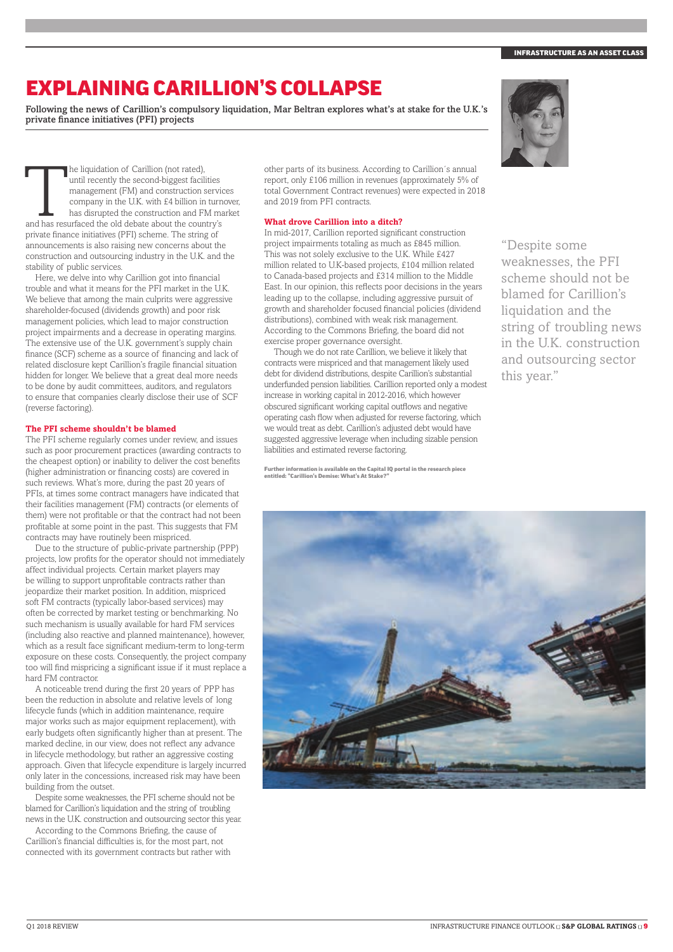# EXPLAINING CARILLION'S COLLAPSE

Following the news of Carillion's compulsory liquidation, Mar Beltran explores what's at stake for the U.K.'s private finance initiatives (PFI) projects

The liquidation of Carillion (not rated),<br>
until recently the second-biggest facilities<br>
management (FM) and construction service<br>
company in the U.K. with £4 billion in turn<br>
has disrupted the construction and FM ma<br>
and until recently the second-biggest facilities management (FM) and construction services company in the U.K. with £4 billion in turnover, has disrupted the construction and FM market private finance initiatives (PFI) scheme. The string of announcements is also raising new concerns about the construction and outsourcing industry in the U.K. and the stability of public services.

 $H$  Here, we delve into why Carillion got into financial trouble and what it means for the PFI market in the U.K. We believe that among the main culprits were aggressive shareholder-focused (dividends growth) and poor risk management policies, which lead to major construction project impairments and a decrease in operating margins. The extensive use of the U.K. government's supply chain finance (SCF) scheme as a source of financing and lack of related disclosure kept Carillion's fragile financial situation hidden for longer. We believe that a great deal more needs to be done by audit committees, auditors, and regulators to ensure that companies clearly disclose their use of SCF (reverse factoring).

#### **The PFI scheme shouldn't be blamed**

The PFI scheme regularly comes under review, and issues such as poor procurement practices (awarding contracts to the cheapest option) or inability to deliver the cost benefits (higher administration or financing costs) are covered in such reviews. What's more, during the past 20 years of PFIs, at times some contract managers have indicated that their facilities management (FM) contracts (or elements of them) were not profitable or that the contract had not been profitable at some point in the past. This suggests that FM contracts may have routinely been mispriced.

Due to the structure of public-private partnership (PPP) projects, low profits for the operator should not immediately affect individual projects. Certain market players may be willing to support unprofitable contracts rather than jeopardize their market position. In addition, mispriced soft FM contracts (typically labor-based services) may often be corrected by market testing or benchmarking. No such mechanism is usually available for hard FM services (including also reactive and planned maintenance), however, which as a result face significant medium-term to long-term exposure on these costs. Consequently, the project company too will find mispricing a significant issue if it must replace a hard FM contractor.

A noticeable trend during the first 20 years of PPP has been the reduction in absolute and relative levels of long lifecycle funds (which in addition maintenance, require major works such as major equipment replacement), with early budgets often significantly higher than at present. The marked decline, in our view, does not reflect any advance in lifecycle methodology, but rather an aggressive costing approach. Given that lifecycle expenditure is largely incurred only later in the concessions, increased risk may have been building from the outset.

Despite some weaknesses, the PFI scheme should not be blamed for Carillion's liquidation and the string of troubling news in the U.K. construction and outsourcing sector this year.

According to the Commons Briefing, the cause of Carillion's financial difficulties is, for the most part, not connected with its government contracts but rather with

other parts of its business. According to Carillion´s annual report, only £106 million in revenues (approximately 5% of total Government Contract revenues) were expected in 2018 and 2019 from PFI contracts.

#### **What drove Carillion into a ditch?**

In mid-2017, Carillion reported significant construction project impairments totaling as much as £845 million. This was not solely exclusive to the U.K. While £427 million related to U.K-based projects, £104 million related to Canada-based projects and £314 million to the Middle East. In our opinion, this reflects poor decisions in the years leading up to the collapse, including aggressive pursuit of growth and shareholder focused financial policies (dividend distributions), combined with weak risk management. According to the Commons Briefing, the board did not exercise proper governance oversight.

Though we do not rate Carillion, we believe it likely that contracts were mispriced and that management likely used debt for dividend distributions, despite Carillion's substantial underfunded pension liabilities. Carillion reported only a modest increase in working capital in 2012-2016, which however obscured significant working capital outflows and negative operating cash flow when adjusted for reverse factoring, which we would treat as debt. Carillion's adjusted debt would have suggested aggressive leverage when including sizable pension liabilities and estimated reverse factoring.

Further information is available on the Capital IQ portal in the research piece entitled: "Carillion's Demise: What's At Stake?"



"Despite some weaknesses, the PFI scheme should not be blamed for Carillion's liquidation and the string of troubling news in the U.K. construction and outsourcing sector this year."

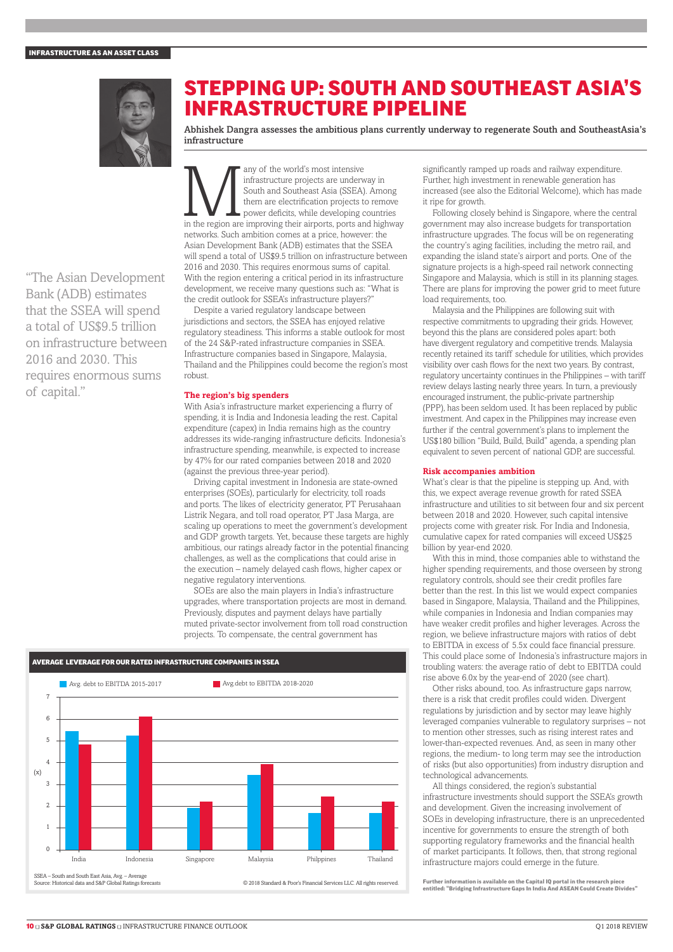

## STEPPING UP: SOUTH AND SOUTHEAST ASIA'S INFRASTRUCTURE PIPELINE

Abhishek Dangra assesses the ambitious plans currently underway to regenerate South and SoutheastAsia's infrastructure

"The Asian Development Bank (ADB) estimates that the SSEA will spend a total of US\$9.5 trillion on infrastructure between 2016 and 2030. This requires enormous sums of capital."

any of the world's most intensive<br>
infrastructure projects are underway in<br>
South and Southeast Asia (SSEA). Among<br>
them are electrification projects to remove<br>
power deficits, while developing countries<br>
in the region are infrastructure projects are underway in South and Southeast Asia (SSEA). Among them are electrification projects to remove power deficits, while developing countries networks. Such ambition comes at a price, however: the Asian Development Bank (ADB) estimates that the SSEA will spend a total of US\$9.5 trillion on infrastructure between 2016 and 2030. This requires enormous sums of capital. With the region entering a critical period in its infrastructure development, we receive many questions such as: "What is the credit outlook for SSEA's infrastructure players?"

Despite a varied regulatory landscape between jurisdictions and sectors, the SSEA has enjoyed relative regulatory steadiness. This informs a stable outlook for most of the 24 S&P-rated infrastructure companies in SSEA. Infrastructure companies based in Singapore, Malaysia, Thailand and the Philippines could become the region's most robust.

#### **The region's big spenders**

With Asia's infrastructure market experiencing a flurry of spending, it is India and Indonesia leading the rest. Capital expenditure (capex) in India remains high as the country addresses its wide-ranging infrastructure deficits. Indonesia's infrastructure spending, meanwhile, is expected to increase by 47% for our rated companies between 2018 and 2020 (against the previous three-year period).

Driving capital investment in Indonesia are state-owned enterprises (SOEs), particularly for electricity, toll roads and ports. The likes of electricity generator, PT Perusahaan Listrik Negara, and toll road operator, PT Jasa Marga, are scaling up operations to meet the government's development and GDP growth targets. Yet, because these targets are highly ambitious, our ratings already factor in the potential financing challenges, as well as the complications that could arise in the execution – namely delayed cash flows, higher capex or negative regulatory interventions.

SOEs are also the main players in India's infrastructure upgrades, where transportation projects are most in demand. Previously, disputes and payment delays have partially muted private-sector involvement from toll road construction projects. To compensate, the central government has



significantly ramped up roads and railway expenditure. Further, high investment in renewable generation has increased (see also the Editorial Welcome), which has made it ripe for growth.

Following closely behind is Singapore, where the central government may also increase budgets for transportation infrastructure upgrades. The focus will be on regenerating the country's aging facilities, including the metro rail, and expanding the island state's airport and ports. One of the signature projects is a high-speed rail network connecting Singapore and Malaysia, which is still in its planning stages. There are plans for improving the power grid to meet future load requirements, too.

Malaysia and the Philippines are following suit with respective commitments to upgrading their grids. However, beyond this the plans are considered poles apart: both have divergent regulatory and competitive trends. Malaysia recently retained its tariff schedule for utilities, which provides visibility over cash flows for the next two years. By contrast, regulatory uncertainty continues in the Philippines – with tariff review delays lasting nearly three years. In turn, a previously encouraged instrument, the public-private partnership (PPP), has been seldom used. It has been replaced by public investment. And capex in the Philippines may increase even further if the central government's plans to implement the US\$180 billion "Build, Build, Build" agenda, a spending plan equivalent to seven percent of national GDP, are successful.

#### **Risk accompanies ambition**

What's clear is that the pipeline is stepping up. And, with this, we expect average revenue growth for rated SSEA infrastructure and utilities to sit between four and six percent between 2018 and 2020. However, such capital intensive projects come with greater risk. For India and Indonesia, cumulative capex for rated companies will exceed US\$25 billion by year-end 2020.

With this in mind, those companies able to withstand the higher spending requirements, and those overseen by strong regulatory controls, should see their credit profiles fare better than the rest. In this list we would expect companies based in Singapore, Malaysia, Thailand and the Philippines, while companies in Indonesia and Indian companies may have weaker credit profiles and higher leverages. Across the region, we believe infrastructure majors with ratios of debt to EBITDA in excess of 5.5x could face financial pressure. This could place some of Indonesia's infrastructure majors in troubling waters: the average ratio of debt to EBITDA could rise above 6.0x by the year-end of 2020 (see chart).

Other risks abound, too. As infrastructure gaps narrow, there is a risk that credit profiles could widen. Divergent regulations by jurisdiction and by sector may leave highly leveraged companies vulnerable to regulatory surprises – not to mention other stresses, such as rising interest rates and lower-than-expected revenues. And, as seen in many other regions, the medium- to long term may see the introduction of risks (but also opportunities) from industry disruption and technological advancements.

All things considered, the region's substantial infrastructure investments should support the SSEA's growth and development. Given the increasing involvement of SOEs in developing infrastructure, there is an unprecedented incentive for governments to ensure the strength of both supporting regulatory frameworks and the financial health of market participants. It follows, then, that strong regional infrastructure majors could emerge in the future.

Further information is available on the Capital IQ portal in the research piece en information is available on the Capital IQ portai in the research piece<br>led: "Bridging Infrastructure Gaps In India And ASEAN Could Create Divides"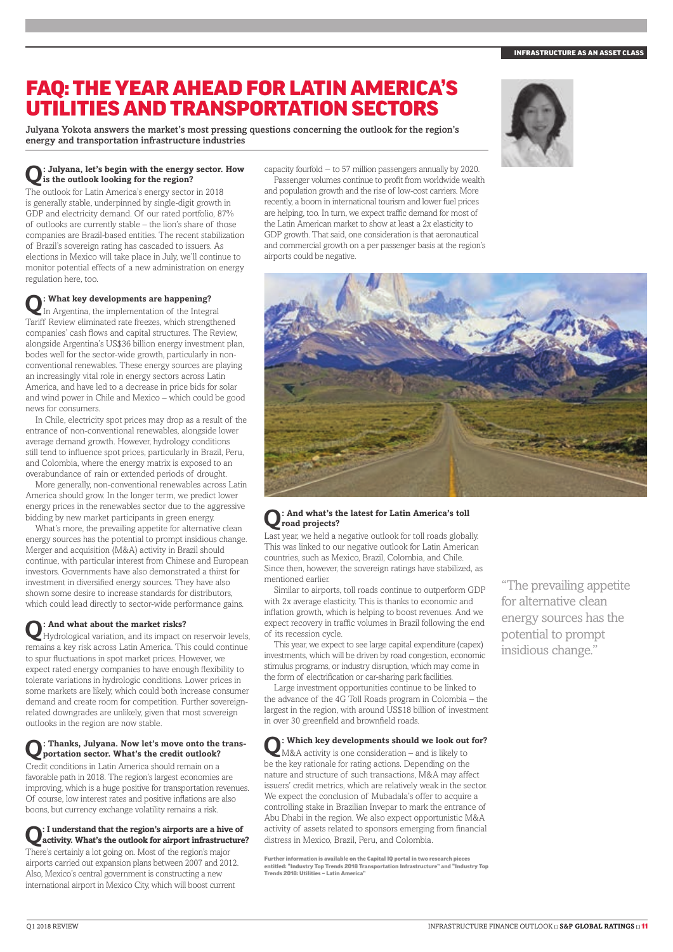### FAQ: THE YEAR AHEAD FOR LATIN AMERICA'S UTILITIES AND TRANSPORTATION SECTORS

Julyana Yokota answers the market's most pressing questions concerning the outlook for the region's energy and transportation infrastructure industries

# **Q: Julyana, let's begin with the energy sector. How is the outlook looking for the region?**

The outlook for Latin America's energy sector in 2018 is generally stable, underpinned by single-digit growth in GDP and electricity demand. Of our rated portfolio, 87% of outlooks are currently stable – the lion's share of those companies are Brazil-based entities. The recent stabilization of Brazil's sovereign rating has cascaded to issuers. As elections in Mexico will take place in July, we'll continue to monitor potential effects of a new administration on energy regulation here, too.

# **Q: What key developments are happening?** In Argentina, the implementation of the Integral

Tariff Review eliminated rate freezes, which strengthened companies' cash flows and capital structures. The Review, alongside Argentina's US\$36 billion energy investment plan, bodes well for the sector-wide growth, particularly in nonconventional renewables. These energy sources are playing an increasingly vital role in energy sectors across Latin America, and have led to a decrease in price bids for solar and wind power in Chile and Mexico – which could be good news for consumers.

In Chile, electricity spot prices may drop as a result of the entrance of non-conventional renewables, alongside lower average demand growth. However, hydrology conditions still tend to influence spot prices, particularly in Brazil, Peru, and Colombia, where the energy matrix is exposed to an overabundance of rain or extended periods of drought.

More generally, non-conventional renewables across Latin America should grow. In the longer term, we predict lower energy prices in the renewables sector due to the aggressive bidding by new market participants in green energy.

What's more, the prevailing appetite for alternative clean energy sources has the potential to prompt insidious change. Merger and acquisition (M&A) activity in Brazil should continue, with particular interest from Chinese and European investors. Governments have also demonstrated a thirst for investment in diversified energy sources. They have also shown some desire to increase standards for distributors, which could lead directly to sector-wide performance gains.

**Q: And what about the market risks?** Hydrological variation, and its impact on reservoir levels, remains a key risk across Latin America. This could continue to spur fluctuations in spot market prices. However, we expect rated energy companies to have enough flexibility to tolerate variations in hydrologic conditions. Lower prices in some markets are likely, which could both increase consumer demand and create room for competition. Further sovereignrelated downgrades are unlikely, given that most sovereign outlooks in the region are now stable.

# **Q: Thanks, Julyana. Now let's move onto the trans-portation sector. What's the credit outlook?**

Credit conditions in Latin America should remain on a favorable path in 2018. The region's largest economies are improving, which is a huge positive for transportation revenues. Of course, low interest rates and positive inflations are also boons, but currency exchange volatility remains a risk.

# **Q: I understand that the region's airports are a hive of activity. What's the outlook for airport infrastructure?**

There's certainly a lot going on. Most of the region's major airports carried out expansion plans between 2007 and 2012. Also, Mexico's central government is constructing a new international airport in Mexico City, which will boost current

capacity fourfold − to 57 million passengers annually by 2020.

Passenger volumes continue to profit from worldwide wealth and population growth and the rise of low-cost carriers. More recently, a boom in international tourism and lower fuel prices are helping, too. In turn, we expect traffic demand for most of the Latin American market to show at least a 2x elasticity to GDP growth. That said, one consideration is that aeronautical and commercial growth on a per passenger basis at the region's airports could be negative.



#### **Q: And what's the latest for Latin America's toll road projects?**

Last year, we held a negative outlook for toll roads globally. This was linked to our negative outlook for Latin American countries, such as Mexico, Brazil, Colombia, and Chile. Since then, however, the sovereign ratings have stabilized, as mentioned earlier.

Similar to airports, toll roads continue to outperform GDP with 2x average elasticity. This is thanks to economic and inflation growth, which is helping to boost revenues. And we expect recovery in traffic volumes in Brazil following the end of its recession cycle.

This year, we expect to see large capital expenditure (capex) investments, which will be driven by road congestion, economic stimulus programs, or industry disruption, which may come in the form of electrification or car-sharing park facilities.

Large investment opportunities continue to be linked to the advance of the 4G Toll Roads program in Colombia – the largest in the region, with around US\$18 billion of investment in over 30 greenfield and brownfield roads.

**Q: Which key developments should we look out for?** M&A activity is one consideration – and is likely to be the key rationale for rating actions. Depending on the nature and structure of such transactions, M&A may affect issuers' credit metrics, which are relatively weak in the sector. We expect the conclusion of Mubadala's offer to acquire a controlling stake in Brazilian Invepar to mark the entrance of Abu Dhabi in the region. We also expect opportunistic M&A activity of assets related to sponsors emerging from financial distress in Mexico, Brazil, Peru, and Colombia.

Further information is available on the Capital IQ portal in two research pieces<br>entitled: "Industry Top Trends 2018 Transportation Infrastructure" and "Industry Top<br>Trends 2018: Utilities – Latin America"

"The prevailing appetite for alternative clean energy sources has the potential to prompt insidious change."

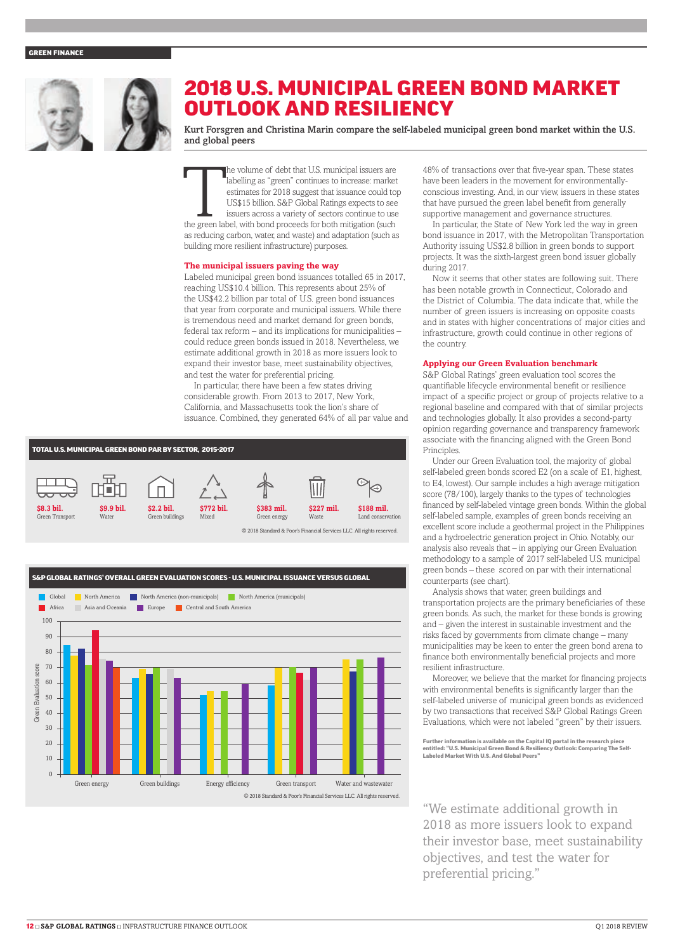#### GREEN FINANCE



## 2018 U.S. MUNICIPAL GREEN BOND MARKET OUTLOOK AND RESILIENCY

Kurt Forsgren and Christina Marin compare the self-labeled municipal green bond market within the U.S. and global peers

The volume of debt that U.S. municipal issuers are labelling as "green" continues to increase: market estimates for 2018 suggest that issuance could to US\$15 billion. S&P Global Ratings expects to see issuers across a vari labelling as "green" continues to increase: market estimates for 2018 suggest that issuance could top US\$15 billion. S&P Global Ratings expects to see issuers across a variety of sectors continue to use the green label, with bond proceeds for both mitigation (such as reducing carbon, water, and waste) and adaptation (such as building more resilient infrastructure) purposes.

#### **The municipal issuers paving the way**

Labeled municipal green bond issuances totalled 65 in 2017, reaching US\$10.4 billion. This represents about 25% of the US\$42.2 billion par total of U.S. green bond issuances that year from corporate and municipal issuers. While there is tremendous need and market demand for green bonds, federal tax reform – and its implications for municipalities – could reduce green bonds issued in 2018. Nevertheless, we estimate additional growth in 2018 as more issuers look to expand their investor base, meet sustainability objectives, and test the water for preferential pricing.

In particular, there have been a few states driving considerable growth. From 2013 to 2017, New York, California, and Massachusetts took the lion's share of issuance. Combined, they generated 64% of all par value and





48% of transactions over that five-year span. These states have been leaders in the movement for environmentallyconscious investing. And, in our view, issuers in these states that have pursued the green label benefit from generally supportive management and governance structures.

In particular, the State of New York led the way in green bond issuance in 2017, with the Metropolitan Transportation Authority issuing US\$2.8 billion in green bonds to support projects. It was the sixth-largest green bond issuer globally during 2017.

Now it seems that other states are following suit. There has been notable growth in Connecticut, Colorado and the District of Columbia. The data indicate that, while the number of green issuers is increasing on opposite coasts and in states with higher concentrations of major cities and infrastructure, growth could continue in other regions of the country.

#### **Applying our Green Evaluation benchmark**

S&P Global Ratings' green evaluation tool scores the quantifiable lifecycle environmental benefit or resilience impact of a specific project or group of projects relative to a regional baseline and compared with that of similar projects and technologies globally. It also provides a second-party opinion regarding governance and transparency framework associate with the financing aligned with the Green Bond **Principles** 

Under our Green Evaluation tool, the majority of global self-labeled green bonds scored E2 (on a scale of E1, highest, to E4, lowest). Our sample includes a high average mitigation score (78/100), largely thanks to the types of technologies financed by self-labeled vintage green bonds. Within the global self-labeled sample, examples of green bonds receiving an excellent score include a geothermal project in the Philippines and a hydroelectric generation project in Ohio. Notably, our analysis also reveals that – in applying our Green Evaluation methodology to a sample of 2017 self-labeled U.S. municipal green bonds – these scored on par with their international counterparts (see chart).

Analysis shows that water, green buildings and transportation projects are the primary beneficiaries of these green bonds. As such, the market for these bonds is growing and – given the interest in sustainable investment and the risks faced by governments from climate change – many municipalities may be keen to enter the green bond arena to finance both environmentally beneficial projects and more resilient infrastructure.

Moreover, we believe that the market for financing projects with environmental benefits is significantly larger than the self-labeled universe of municipal green bonds as evidenced by two transactions that received S&P Global Ratings Green Evaluations, which were not labeled "green" by their issuers.

Further information is available on the Capital IQ portal in the research piece entitled: "U.S. Municipal Green Bond & Resiliency Outlook: Comparing The Self-Labeled Market With U.S. And Global Peers"

"We estimate additional growth in 2018 as more issuers look to expand their investor base, meet sustainability objectives, and test the water for preferential pricing."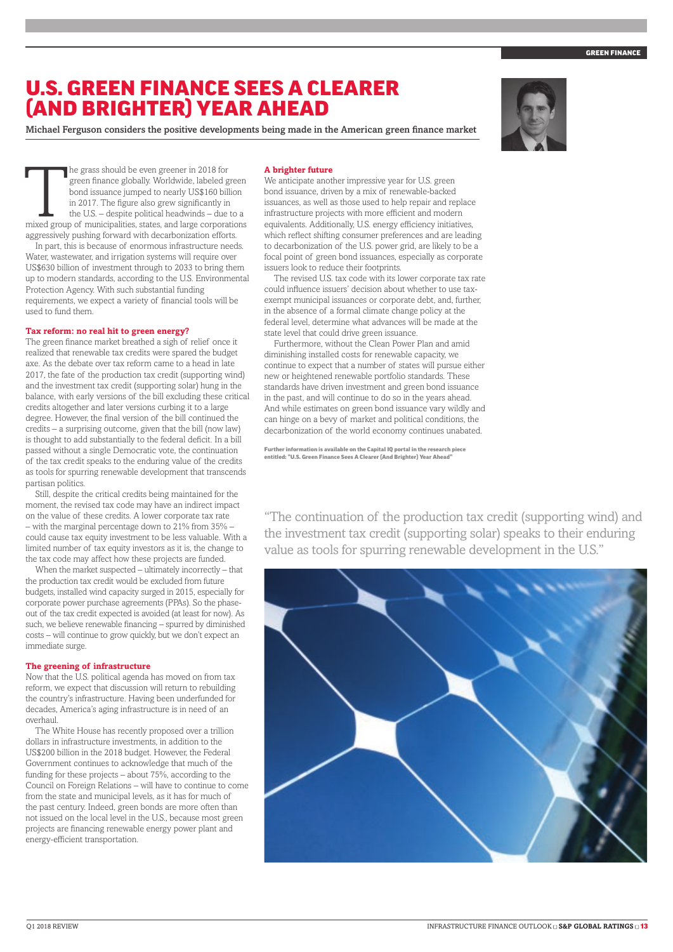#### **GREEN FINANCI**

### U.S. GREEN FINANCE SEES A CLEARER (AND BRIGHTER) YEAR AHEAD

Michael Ferguson considers the positive developments being made in the American green finance market



The grass should be even greener in 2018 for green finance globally. Worldwide, labeled green bond issuance jumped to nearly US\$160 billion in 2017. The figure also grew significantly in the U.S. – despite political headwi green finance globally. Worldwide, labeled green bond issuance jumped to nearly US\$160 billion in 2017. The figure also grew significantly in the U.S. – despite political headwinds – due to a aggressively pushing forward with decarbonization efforts.

In part, this is because of enormous infrastructure needs. Water, wastewater, and irrigation systems will require over US\$630 billion of investment through to 2033 to bring them up to modern standards, according to the U.S. Environmental Protection Agency. With such substantial funding requirements, we expect a variety of financial tools will be used to fund them.

#### **Tax reform: no real hit to green energy?**

The green finance market breathed a sigh of relief once it realized that renewable tax credits were spared the budget axe. As the debate over tax reform came to a head in late 2017, the fate of the production tax credit (supporting wind) and the investment tax credit (supporting solar) hung in the balance, with early versions of the bill excluding these critical credits altogether and later versions curbing it to a large degree. However, the final version of the bill continued the credits – a surprising outcome, given that the bill (now law) is thought to add substantially to the federal deficit. In a bill passed without a single Democratic vote, the continuation of the tax credit speaks to the enduring value of the credits as tools for spurring renewable development that transcends partisan politics.

Still, despite the critical credits being maintained for the moment, the revised tax code may have an indirect impact on the value of these credits. A lower corporate tax rate – with the marginal percentage down to  $21\%$  from 35% – could cause tax equity investment to be less valuable. With a limited number of tax equity investors as it is, the change to the tax code may affect how these projects are funded.

When the market suspected – ultimately incorrectly – that the production tax credit would be excluded from future budgets, installed wind capacity surged in 2015, especially for corporate power purchase agreements (PPAs). So the phaseout of the tax credit expected is avoided (at least for now). As such, we believe renewable financing – spurred by diminished costs – will continue to grow quickly, but we don't expect an immediate surge.

#### **The greening of infrastructure**

Now that the U.S. political agenda has moved on from tax reform, we expect that discussion will return to rebuilding the country's infrastructure. Having been underfunded for decades, America's aging infrastructure is in need of an overhaul.

The White House has recently proposed over a trillion dollars in infrastructure investments, in addition to the US\$200 billion in the 2018 budget. However, the Federal Government continues to acknowledge that much of the funding for these projects – about  $75\%$ , according to the Council on Foreign Relations – will have to continue to come from the state and municipal levels, as it has for much of the past century. Indeed, green bonds are more often than not issued on the local level in the U.S., because most green projects are financing renewable energy power plant and energy-efficient transportation.

#### **A brighter future**

We anticipate another impressive year for U.S. green bond issuance, driven by a mix of renewable-backed issuances, as well as those used to help repair and replace infrastructure projects with more efficient and modern equivalents. Additionally, U.S. energy efficiency initiatives, which reflect shifting consumer preferences and are leading to decarbonization of the U.S. power grid, are likely to be a focal point of green bond issuances, especially as corporate issuers look to reduce their footprints.

The revised U.S. tax code with its lower corporate tax rate could influence issuers' decision about whether to use taxexempt municipal issuances or corporate debt, and, further, in the absence of a formal climate change policy at the federal level, determine what advances will be made at the state level that could drive green issuance.

Furthermore, without the Clean Power Plan and amid diminishing installed costs for renewable capacity, we continue to expect that a number of states will pursue either new or heightened renewable portfolio standards. These standards have driven investment and green bond issuance in the past, and will continue to do so in the years ahead. And while estimates on green bond issuance vary wildly and can hinge on a bevy of market and political conditions, the decarbonization of the world economy continues unabated.

Further information is available on the Capital IQ portal in the research piece entitled: "U.S. Green Finance Sees A Clearer (And Brighter) Year Ahe

"The continuation of the production tax credit (supporting wind) and the investment tax credit (supporting solar) speaks to their enduring value as tools for spurring renewable development in the U.S."

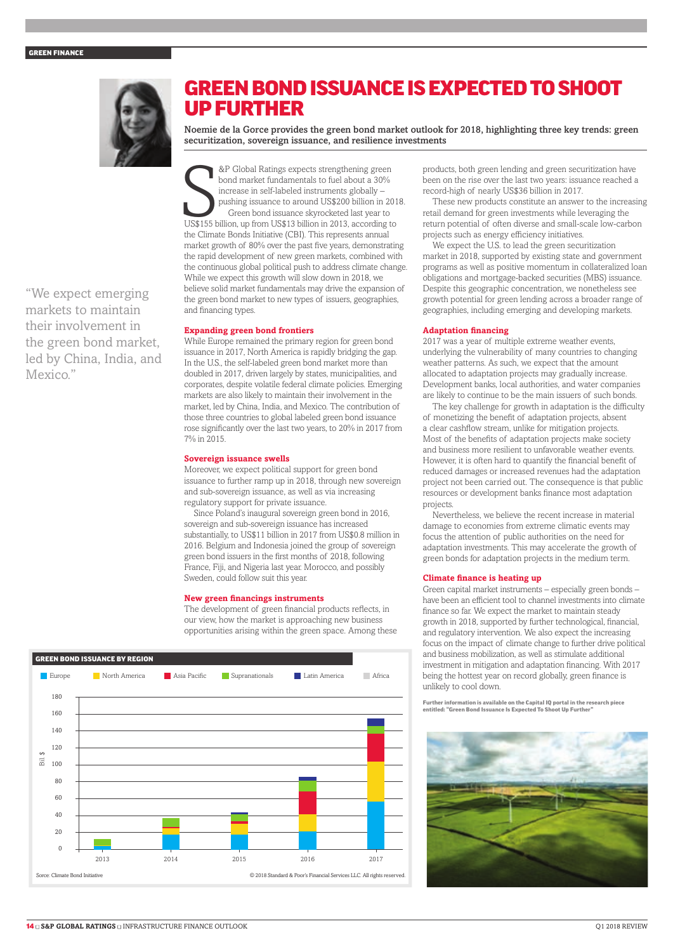#### GREEN FINANCE



### UP FURTHER Noemie de la Gorce provides the green bond market outlook for 2018, highlighting three key trends: green securitization, sovereign issuance, and resilience investments

GREEN BOND ISSUANCE IS EXPECTED TO SHOOT

"We expect emerging markets to maintain their involvement in the green bond market, led by China, India, and Mexico."

&P Global Ratings expects strengthening green<br>bond market fundamentals to fuel about a 30%<br>increase in self-labeled instruments globally –<br>pushing issuance to around US\$200 billion in 201<br>Green bond issuance skyrocketed la &P Global Ratings expects strengthening green bond market fundamentals to fuel about a 30% increase in self-labeled instruments globally – pushing issuance to around US\$200 billion in 2018. Green bond issuance skyrocketed last year to the Climate Bonds Initiative (CBI). This represents annual market growth of 80% over the past five years, demonstrating the rapid development of new green markets, combined with the continuous global political push to address climate change. While we expect this growth will slow down in 2018, we believe solid market fundamentals may drive the expansion of the green bond market to new types of issuers, geographies, and financing types.

#### **Expanding green bond frontiers**

While Europe remained the primary region for green bond issuance in 2017, North America is rapidly bridging the gap. In the U.S., the self-labeled green bond market more than doubled in 2017, driven largely by states, municipalities, and corporates, despite volatile federal climate policies. Emerging markets are also likely to maintain their involvement in the market, led by China, India, and Mexico. The contribution of those three countries to global labeled green bond issuance rose significantly over the last two years, to 20% in 2017 from 7% in 2015.

#### **Sovereign issuance swells**

Moreover, we expect political support for green bond issuance to further ramp up in 2018, through new sovereign and sub-sovereign issuance, as well as via increasing regulatory support for private issuance.

Since Poland's inaugural sovereign green bond in 2016, sovereign and sub-sovereign issuance has increased substantially, to US\$11 billion in 2017 from US\$0.8 million in 2016. Belgium and Indonesia joined the group of sovereign green bond issuers in the first months of 2018, following France, Fiji, and Nigeria last year. Morocco, and possibly Sweden, could follow suit this year.

#### **New green financings instruments**

The development of green financial products reflects, in our view, how the market is approaching new business opportunities arising within the green space. Among these



products, both green lending and green securitization have been on the rise over the last two years: issuance reached a record-high of nearly US\$36 billion in 2017.

These new products constitute an answer to the increasing retail demand for green investments while leveraging the return potential of often diverse and small-scale low-carbon projects such as energy efficiency initiatives.

We expect the U.S. to lead the green securitization market in 2018, supported by existing state and government programs as well as positive momentum in collateralized loan obligations and mortgage-backed securities (MBS) issuance. Despite this geographic concentration, we nonetheless see growth potential for green lending across a broader range of geographies, including emerging and developing markets.

#### **Adaptation financing**

2017 was a year of multiple extreme weather events, underlying the vulnerability of many countries to changing weather patterns. As such, we expect that the amount allocated to adaptation projects may gradually increase. Development banks, local authorities, and water companies are likely to continue to be the main issuers of such bonds.

The key challenge for growth in adaptation is the difficulty of monetizing the benefit of adaptation projects, absent a clear cashflow stream, unlike for mitigation projects. Most of the benefits of adaptation projects make society and business more resilient to unfavorable weather events. However, it is often hard to quantify the financial benefit of reduced damages or increased revenues had the adaptation project not been carried out. The consequence is that public resources or development banks finance most adaptation projects.

Nevertheless, we believe the recent increase in material damage to economies from extreme climatic events may focus the attention of public authorities on the need for adaptation investments. This may accelerate the growth of green bonds for adaptation projects in the medium term.

#### **Climate finance is heating up**

Green capital market instruments – especially green bonds – have been an efficient tool to channel investments into climate finance so far. We expect the market to maintain steady growth in 2018, supported by further technological, financial, and regulatory intervention. We also expect the increasing focus on the impact of climate change to further drive political and business mobilization, as well as stimulate additional investment in mitigation and adaptation financing. With 2017 being the hottest year on record globally, green finance is unlikely to cool down.

Further information is available on the Capital IQ portal in the research piece entitled: "Green Bond Issuance Is the suprimer," partie in the C<br>titled: "Green Bond Issuance Is Evnected To Shoot Un Further

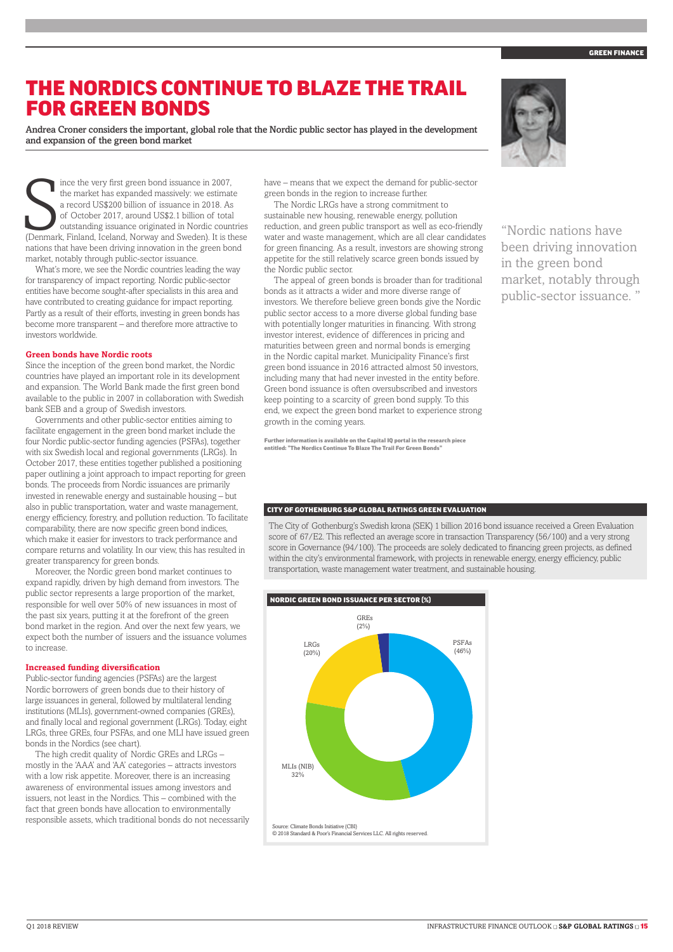### THE NORDICS CONTINUE TO BLAZE THE TRAIL FOR GREEN BONDS

Andrea Croner considers the important, global role that the Nordic public sector has played in the development and expansion of the green bond market

The market has expanded massively: we estimate<br>a record US\$200 billion of issuance in 2018. As<br>of October 2017, around US\$2.1 billion of total<br>outstanding issuance originated in Nordic countries<br>(Denmark, Finland, Iceland, ince the very first green bond issuance in 2007, the market has expanded massively: we estimate a record US\$200 billion of issuance in 2018. As of October 2017, around US\$2.1 billion of total outstanding issuance originated in Nordic countries nations that have been driving innovation in the green bond market, notably through public-sector issuance.

What's more, we see the Nordic countries leading the way for transparency of impact reporting. Nordic public-sector entities have become sought-after specialists in this area and have contributed to creating guidance for impact reporting. Partly as a result of their efforts, investing in green bonds has become more transparent – and therefore more attractive to investors worldwide.

#### **Green bonds have Nordic roots**

Since the inception of the green bond market, the Nordic countries have played an important role in its development and expansion. The World Bank made the first green bond available to the public in 2007 in collaboration with Swedish bank SEB and a group of Swedish investors.

Governments and other public-sector entities aiming to facilitate engagement in the green bond market include the four Nordic public-sector funding agencies (PSFAs), together with six Swedish local and regional governments (LRGs). In October 2017, these entities together published a positioning paper outlining a joint approach to impact reporting for green bonds. The proceeds from Nordic issuances are primarily invested in renewable energy and sustainable housing – but also in public transportation, water and waste management, energy efficiency, forestry, and pollution reduction. To facilitate comparability, there are now specific green bond indices, which make it easier for investors to track performance and compare returns and volatility. In our view, this has resulted in greater transparency for green bonds.

Moreover, the Nordic green bond market continues to expand rapidly, driven by high demand from investors. The public sector represents a large proportion of the market, responsible for well over 50% of new issuances in most of the past six years, putting it at the forefront of the green bond market in the region. And over the next few years, we expect both the number of issuers and the issuance volumes to increase.

#### **Increased funding diversification**

Public-sector funding agencies (PSFAs) are the largest Nordic borrowers of green bonds due to their history of large issuances in general, followed by multilateral lending institutions (MLIs), government-owned companies (GREs), and finally local and regional government (LRGs). Today, eight LRGs, three GREs, four PSFAs, and one MLI have issued green bonds in the Nordics (see chart).

The high credit quality of Nordic GREs and LRGs – mostly in the 'AAA' and 'AA' categories – attracts investors with a low risk appetite. Moreover, there is an increasing awareness of environmental issues among investors and issuers, not least in the Nordics. This – combined with the fact that green bonds have allocation to environmentally responsible assets, which traditional bonds do not necessarily have – means that we expect the demand for public-sector green bonds in the region to increase further.

The Nordic LRGs have a strong commitment to sustainable new housing, renewable energy, pollution reduction, and green public transport as well as eco-friendly water and waste management, which are all clear candidates for green financing. As a result, investors are showing strong appetite for the still relatively scarce green bonds issued by the Nordic public sector.

The appeal of green bonds is broader than for traditional bonds as it attracts a wider and more diverse range of investors. We therefore believe green bonds give the Nordic public sector access to a more diverse global funding base with potentially longer maturities in financing. With strong investor interest, evidence of differences in pricing and maturities between green and normal bonds is emerging in the Nordic capital market. Municipality Finance's first green bond issuance in 2016 attracted almost 50 investors, including many that had never invested in the entity before. Green bond issuance is often oversubscribed and investors keep pointing to a scarcity of green bond supply. To this end, we expect the green bond market to experience strong growth in the coming years.

Further information is available on the Capital IQ portal in the research piece entitled: "The Nordics Continue To Blaze The Trail For Green Bonds"



"Nordic nations have been driving innovation in the green bond market, notably through public-sector issuance. "

#### CITY OF GOTHENBURG S&P GLOBAL RATINGS GREEN EVALUATION

The City of Gothenburg's Swedish krona (SEK) 1 billion 2016 bond issuance received a Green Evaluation score of 67/E2. This reflected an average score in transaction Transparency (56/100) and a very strong score in Governance (94/100). The proceeds are solely dedicated to financing green projects, as defined within the city's environmental framework, with projects in renewable energy, energy efficiency, public transportation, waste management water treatment, and sustainable housing.



#### **GREEN FINANCI**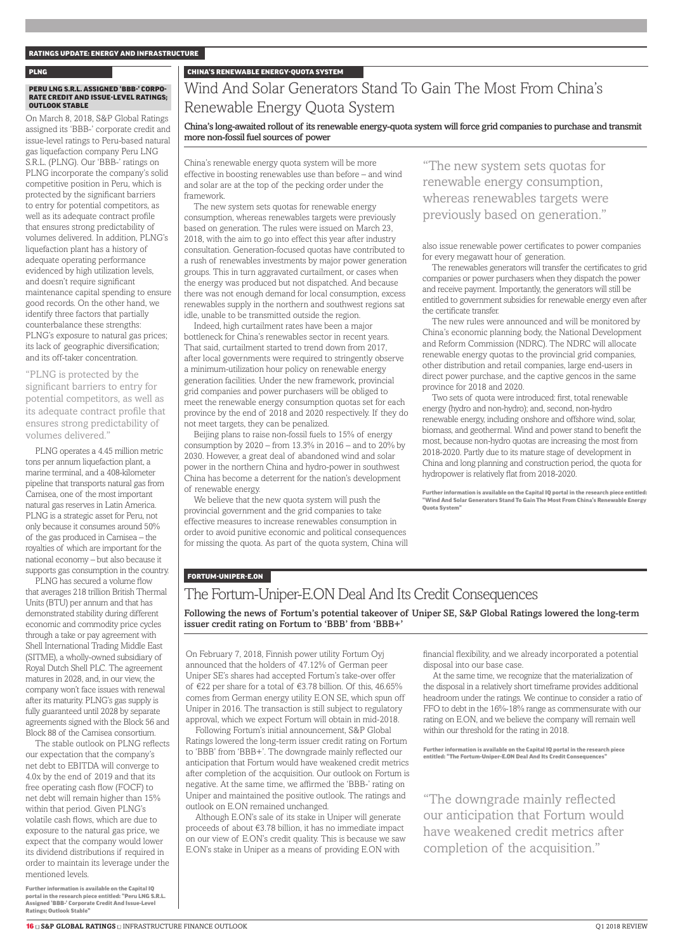#### RATINGS UPDATE: ENERGY AND INFRASTRUCTURE

#### PLNG CHINA'S RENEWABLE ENERGY-QUOTA SYSTEM

#### PERU LNG S.R.L. ASSIGNED 'BBB-' CORPO-RATE CREDIT AND ISSUE-LEVEL RATINGS; OUTLOOK STABLE

On March 8, 2018, S&P Global Ratings assigned its 'BBB-' corporate credit and issue-level ratings to Peru-based natural gas liquefaction company Peru LNG S.R.L. (PLNG). Our 'BBB-' ratings on PLNG incorporate the company's solid competitive position in Peru, which is protected by the significant barriers to entry for potential competitors, as well as its adequate contract profile that ensures strong predictability of volumes delivered. In addition, PLNG's liquefaction plant has a history of adequate operating performance evidenced by high utilization levels, and doesn't require significant maintenance capital spending to ensure good records. On the other hand, we identify three factors that partially counterbalance these strengths: PLNG's exposure to natural gas prices; its lack of geographic diversification; and its off-taker concentration.

"PLNG is protected by the significant barriers to entry for potential competitors, as well as its adequate contract profile that ensures strong predictability of volumes delivered."

PLNG operates a 4.45 million metric tons per annum liquefaction plant, a marine terminal, and a 408-kilometer pipeline that transports natural gas from Camisea, one of the most important natural gas reserves in Latin America. PLNG is a strategic asset for Peru, not only because it consumes around 50% of the gas produced in Camisea – the royalties of which are important for the national economy – but also because it supports gas consumption in the country.

PLNG has secured a volume flow that averages 218 trillion British Thermal Units (BTU) per annum and that has demonstrated stability during different economic and commodity price cycles through a take or pay agreement with Shell International Trading Middle East (SITME), a wholly-owned subsidiary of Royal Dutch Shell PLC. The agreement matures in 2028, and, in our view, the company won't face issues with renewal after its maturity. PLNG's gas supply is fully guaranteed until 2028 by separate agreements signed with the Block 56 and Block 88 of the Camisea consortium.

The stable outlook on PLNG reflects our expectation that the company's net debt to EBITDA will converge to 4.0x by the end of 2019 and that its free operating cash flow (FOCF) to net debt will remain higher than 15% within that period. Given PLNG's volatile cash flows, which are due to exposure to the natural gas price, we expect that the company would lower its dividend distributions if required in order to maintain its leverage under the mentioned levels.

Further information is available on the Capital IQ portal in the research piece entitled: "Peru LNG S.R.L. Assigned 'BBB-' Corporate Credit And Issue-Level Ratings; Outlook Stable"

### Wind And Solar Generators Stand To Gain The Most From China's Renewable Energy Quota System

#### China's long-awaited rollout of its renewable energy-quota system will force grid companies to purchase and transmit more non-fossil fuel sources of power

China's renewable energy quota system will be more effective in boosting renewables use than before – and wind and solar are at the top of the pecking order under the framework.

The new system sets quotas for renewable energy consumption, whereas renewables targets were previously based on generation. The rules were issued on March 23, 2018, with the aim to go into effect this year after industry consultation. Generation-focused quotas have contributed to a rush of renewables investments by major power generation groups. This in turn aggravated curtailment, or cases when the energy was produced but not dispatched. And because there was not enough demand for local consumption, excess renewables supply in the northern and southwest regions sat idle, unable to be transmitted outside the region.

Indeed, high curtailment rates have been a major bottleneck for China's renewables sector in recent years. That said, curtailment started to trend down from 2017, after local governments were required to stringently observe a minimum-utilization hour policy on renewable energy generation facilities. Under the new framework, provincial grid companies and power purchasers will be obliged to meet the renewable energy consumption quotas set for each province by the end of 2018 and 2020 respectively. If they do not meet targets, they can be penalized.

Beijing plans to raise non-fossil fuels to 15% of energy consumption by  $2020$  – from  $13.3\%$  in  $2016$  – and to  $20\%$  by 2030. However, a great deal of abandoned wind and solar power in the northern China and hydro-power in southwest China has become a deterrent for the nation's development of renewable energy.

We believe that the new quota system will push the provincial government and the grid companies to take effective measures to increase renewables consumption in order to avoid punitive economic and political consequences for missing the quota. As part of the quota system, China will "The new system sets quotas for renewable energy consumption, whereas renewables targets were previously based on generation."

also issue renewable power certificates to power companies for every megawatt hour of generation.

The renewables generators will transfer the certificates to grid companies or power purchasers when they dispatch the power and receive payment. Importantly, the generators will still be entitled to government subsidies for renewable energy even after the certificate transfer.

The new rules were announced and will be monitored by China's economic planning body, the National Development and Reform Commission (NDRC). The NDRC will allocate renewable energy quotas to the provincial grid companies, other distribution and retail companies, large end-users in direct power purchase, and the captive gencos in the same province for 2018 and 2020.

Two sets of quota were introduced: first, total renewable energy (hydro and non-hydro); and, second, non-hydro renewable energy, including onshore and offshore wind, solar, biomass, and geothermal. Wind and power stand to benefit the most, because non-hydro quotas are increasing the most from 2018-2020. Partly due to its mature stage of development in China and long planning and construction period, the quota for hydropower is relatively flat from 2018-2020.

Further information is available on the Capital IQ portal in the research piece entitled: "Wind And Solar Generators Stand To Gain The Most From China's Renewable Energy rmus.<br>Inta Systi

#### FORTUM-UNIPER-E.ON

### The Fortum-Uniper-E.ON Deal And Its Credit Consequences

Following the news of Fortum's potential takeover of Uniper SE, S&P Global Ratings lowered the long-term issuer credit rating on Fortum to 'BBB' from 'BBB+'

On February 7, 2018, Finnish power utility Fortum Oyj announced that the holders of 47.12% of German peer Uniper SE's shares had accepted Fortum's take-over offer of €22 per share for a total of €3.78 billion. Of this, 46.65% comes from German energy utility E.ON SE, which spun off Uniper in 2016. The transaction is still subject to regulatory approval, which we expect Fortum will obtain in mid-2018.

Following Fortum's initial announcement, S&P Global Ratings lowered the long-term issuer credit rating on Fortum to 'BBB' from 'BBB+'. The downgrade mainly reflected our anticipation that Fortum would have weakened credit metrics after completion of the acquisition. Our outlook on Fortum is negative. At the same time, we affirmed the 'BBB-' rating on Uniper and maintained the positive outlook. The ratings and outlook on E.ON remained unchanged.

Although E.ON's sale of its stake in Uniper will generate proceeds of about €3.78 billion, it has no immediate impact on our view of E.ON's credit quality. This is because we saw E.ON's stake in Uniper as a means of providing E.ON with

financial flexibility, and we already incorporated a potential disposal into our base case.

At the same time, we recognize that the materialization of the disposal in a relatively short timeframe provides additional headroom under the ratings. We continue to consider a ratio of FFO to debt in the 16%-18% range as commensurate with our rating on E.ON, and we believe the company will remain well within our threshold for the rating in 2018.

Further information is available on the Capital IQ portal in the research piece entitled: "The Fortum-Uniper-E.ON Deal And Its Credit Consequences"

"The downgrade mainly reflected our anticipation that Fortum would have weakened credit metrics after completion of the acquisition."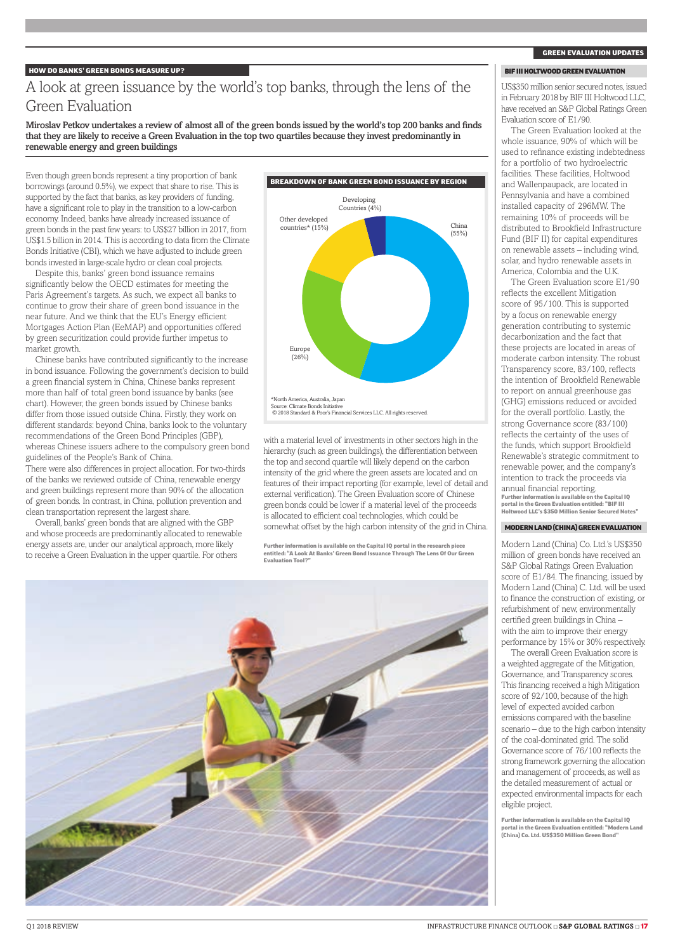#### HOW DO BANKS' GREEN BONDS MEASURE UP?

### A look at green issuance by the world's top banks, through the lens of the Green Evaluation

Miroslav Petkov undertakes a review of almost all of the green bonds issued by the world's top 200 banks and finds that they are likely to receive a Green Evaluation in the top two quartiles because they invest predominantly in renewable energy and green buildings

Even though green bonds represent a tiny proportion of bank borrowings (around 0.5%), we expect that share to rise. This is supported by the fact that banks, as key providers of funding, have a significant role to play in the transition to a low-carbon economy. Indeed, banks have already increased issuance of green bonds in the past few years: to US\$27 billion in 2017, from US\$1.5 billion in 2014. This is according to data from the Climate Bonds Initiative (CBI), which we have adjusted to include green bonds invested in large-scale hydro or clean coal projects.

Despite this, banks' green bond issuance remains significantly below the OECD estimates for meeting the Paris Agreement's targets. As such, we expect all banks to continue to grow their share of green bond issuance in the near future. And we think that the EU's Energy efficient Mortgages Action Plan (EeMAP) and opportunities offered by green securitization could provide further impetus to market growth.

Chinese banks have contributed significantly to the increase in bond issuance. Following the government's decision to build a green financial system in China, Chinese banks represent more than half of total green bond issuance by banks (see chart). However, the green bonds issued by Chinese banks differ from those issued outside China. Firstly, they work on different standards: beyond China, banks look to the voluntary recommendations of the Green Bond Principles (GBP), whereas Chinese issuers adhere to the compulsory green bond guidelines of the People's Bank of China.

There were also differences in project allocation. For two-thirds of the banks we reviewed outside of China, renewable energy and green buildings represent more than 90% of the allocation of green bonds. In contrast, in China, pollution prevention and clean transportation represent the largest share.

Overall, banks' green bonds that are aligned with the GBP and whose proceeds are predominantly allocated to renewable energy assets are, under our analytical approach, more likely to receive a Green Evaluation in the upper quartile. For others



with a material level of investments in other sectors high in the hierarchy (such as green buildings), the differentiation between the top and second quartile will likely depend on the carbon intensity of the grid where the green assets are located and on features of their impact reporting (for example, level of detail and external verification). The Green Evaluation score of Chinese green bonds could be lower if a material level of the proceeds is allocated to efficient coal technologies, which could be somewhat offset by the high carbon intensity of the grid in China.

Further information is available on the Capital IQ portal in the research piece entitled: "A Look At Banks' Green Bond Issuance Through The Lens Of Our Green Evaluation Tool?"



#### GREEN EVALUATION UPDATES

#### BIFIII HOLTWOOD GREEN EVALUATION

US\$350 million senior secured notes, issued in February 2018 by BIF III Holtwood LLC, have received an S&P Global Ratings Green Evaluation score of E1/90.

The Green Evaluation looked at the whole issuance, 90% of which will be used to refinance existing indebtedness for a portfolio of two hydroelectric facilities. These facilities, Holtwood and Wallenpaupack, are located in Pennsylvania and have a combined installed capacity of 296MW. The remaining 10% of proceeds will be distributed to Brookfield Infrastructure Fund (BIF II) for capital expenditures on renewable assets – including wind, solar, and hydro renewable assets in America, Colombia and the UK

The Green Evaluation score E1/90 reflects the excellent Mitigation score of 95/100. This is supported by a focus on renewable energy generation contributing to systemic decarbonization and the fact that these projects are located in areas of moderate carbon intensity. The robust Transparency score, 83/100, reflects the intention of Brookfield Renewable to report on annual greenhouse gas (GHG) emissions reduced or avoided for the overall portfolio. Lastly, the strong Governance score (83/100) reflects the certainty of the uses of the funds, which support Brookfield Renewable's strategic commitment to renewable power, and the company's intention to track the proceeds via annual financial reporting. Further information is available on the Capital IQ portal in the Green Evaluation entitled: "BIF III Holtwood LLC's \$350 Million Senior Secured Notes"

#### MODERN LAND (CHINA) GREEN EVALUATION

Modern Land (China) Co. Ltd.'s US\$350 million of green bonds have received an S&P Global Ratings Green Evaluation score of E1/84. The financing, issued by Modern Land (China) C. Ltd. will be used to finance the construction of existing, or refurbishment of new, environmentally certified green buildings in China – with the aim to improve their energy performance by 15% or 30% respectively.

The overall Green Evaluation score is a weighted aggregate of the Mitigation, Governance, and Transparency scores. This financing received a high Mitigation score of 92/100, because of the high level of expected avoided carbon emissions compared with the baseline scenario – due to the high carbon intensity of the coal-dominated grid. The solid Governance score of 76/100 reflects the strong framework governing the allocation and management of proceeds, as well as the detailed measurement of actual or expected environmental impacts for each eligible project.

Further information is available on the Capital IQ portal in the Green Evaluation entitled: "Modern Land (China) Co. Ltd. US\$350 Million Green Bond"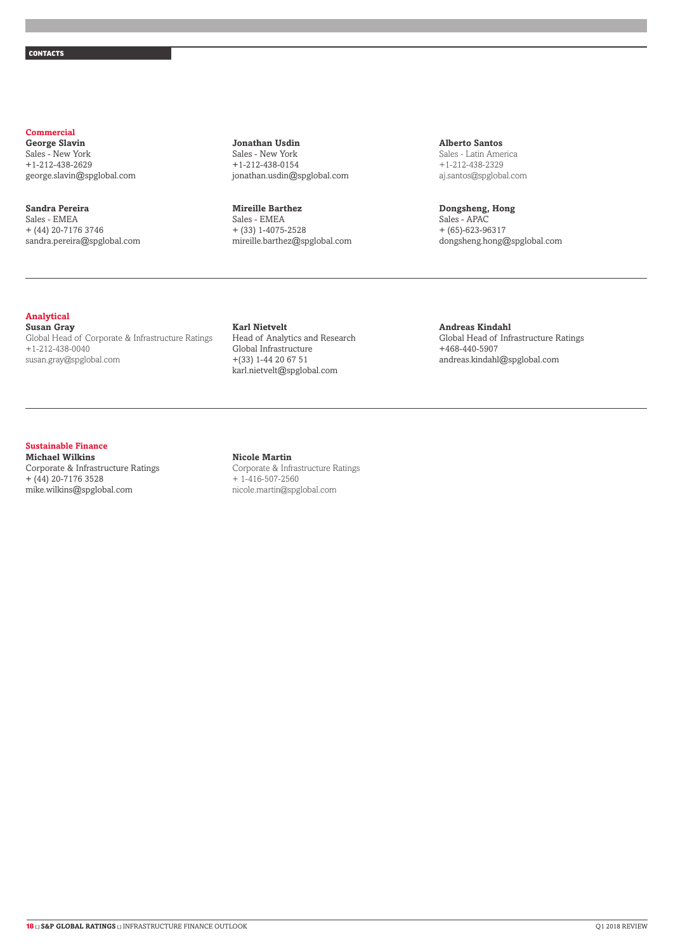#### **Commercial**

**George Slavin** Sales - New York +1-212-438-2629 george.slavin@spglobal.com

### **Sandra Pereira**

Sales - EMEA + (44) 20-7176 3746 sandra.pereira@spglobal.com

#### **Jonathan Usdin** Sales - New York +1-212-438-0154 jonathan.usdin@spglobal.com

#### **Mireille Barthez**

Sales - EMEA + (33) 1-4075-2528 mireille.barthez@spglobal.com

#### **Alberto Santos** Sales - Latin America +1-212-438-2329 aj.santos@spglobal.com

**Dongsheng, Hong** Sales - APAC + (65)-623-96317 dongsheng.hong@spglobal.com

#### **Analytical**

**Susan Gray** Global Head of Corporate & Infrastructure Ratings +1-212-438-0040 susan.gray@spglobal.com

**Karl Nietvelt** Head of Analytics and Research Global Infrastructure +(33) 1-44 20 67 51 karl.nietvelt@spglobal.com

#### **Andreas Kindahl** Global Head of Infrastructure Ratings

+468-440-5907 andreas.kindahl@spglobal.com

### **Sustainable Finance**

**Michael Wilkins** Corporate & Infrastructure Ratings + (44) 20-7176 3528 mike.wilkins@spglobal.com

#### **Nicole Martin**

Corporate & Infrastructure Ratings + 1-416-507-2560 nicole.martin@spglobal.com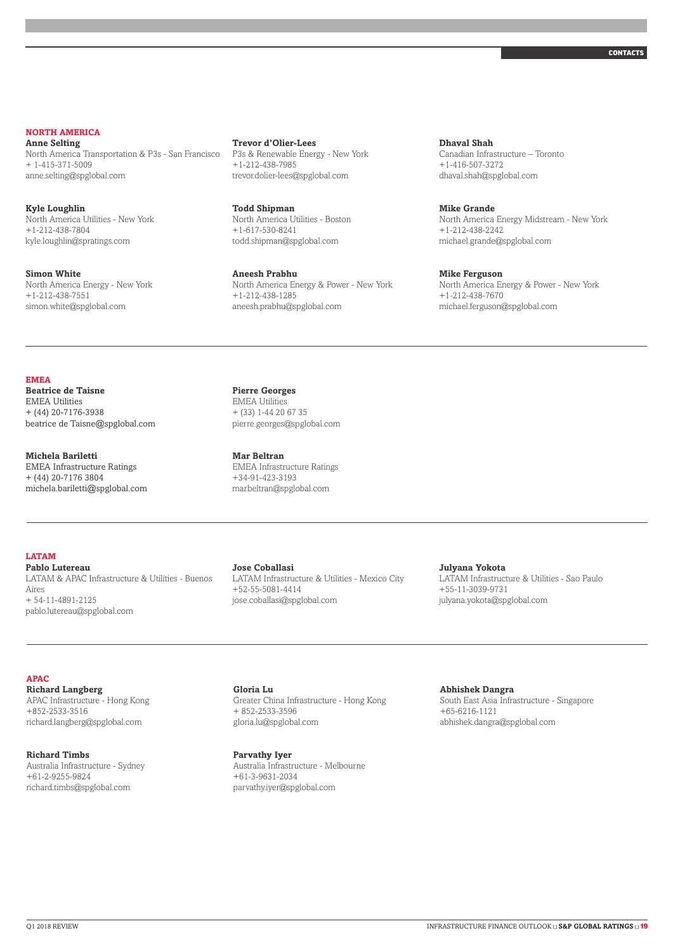### **NORTH AMERICA**

**Anne Selting** North America Transportation & P3s - San Francisco + 1-415-371-5009 anne.selting@spglobal.com

**Kyle Loughlin** North America Utilities - New York +1-212-438-7804 kyle.loughlin@spratings.com

**Simon White** North America Energy - New York +1-212-438-7551 simon.white@spglobal.com

#### **Trevor d'Olier-Lees**

P3s & Renewable Energy - New York +1-212-438-7985 trevor.dolier-lees@spglobal.com

**Todd Shipman** North America Utilities - Boston +1-617-530-8241 todd.shipman@spglobal.com

**Aneesh Prabhu** North America Energy & Power - New York +1-212-438-1285 aneesh.prabhu@spglobal.com

**Dhaval Shah** Canadian Infrastructure – Toronto +1-416-507-3272 dhaval.shah@spglobal.com

#### **Mike Grande**

North America Energy Midstream - New York +1-212-438-2242 michael.grande@spglobal.com

#### **Mike Ferguson**

North America Energy & Power - New York +1-212-438-7670 michael.ferguson@spglobal.com

#### **EMEA**

**Beatrice de Taisne** EMEA Utilities + (44) 20-7176-3938 beatrice de Taisne@spglobal.com

**Michela Bariletti** EMEA Infrastructure Ratings + (44) 20-7176 3804 michela.bariletti@spglobal.com **Pierre Georges** EMEA Utilities + (33) 1-44 20 67 35

**Mar Beltran** EMEA Infrastructure Ratings +34-91-423-3193

mar.beltran@spglobal.com

pierre.georges@spglobal.com

**LATAM**

**Pablo Lutereau** LATAM & APAC Infrastructure & Utilities - Buenos Aires + 54-11-4891-2125 pablo.lutereau@spglobal.com

#### **Jose Coballasi**

LATAM Infrastructure & Utilities - Mexico City +52-55-5081-4414 jose.coballasi@spglobal.com

**Julyana Yokota** LATAM Infrastructure & Utilities - Sao Paulo +55-11-3039-9731

julyana.yokota@spglobal.com

#### **APAC**

**Richard Langberg** APAC Infrastructure - Hong Kong +852-2533-3516 richard.langberg@spglobal.com

**Richard Timbs** Australia Infrastructure - Sydney +61-2-9255-9824 richard.timbs@spglobal.com

**Gloria Lu** Greater China Infrastructure - Hong Kong + 852-2533-3596 gloria.lu@spglobal.com

**Parvathy Iyer** Australia Infrastructure - Melbourne +61-3-9631-2034 parvathy.iyer@spglobal.com

**Abhishek Dangra**

South East Asia Infrastructure - Singapore +65-6216-1121 abhishek.dangra@spglobal.com